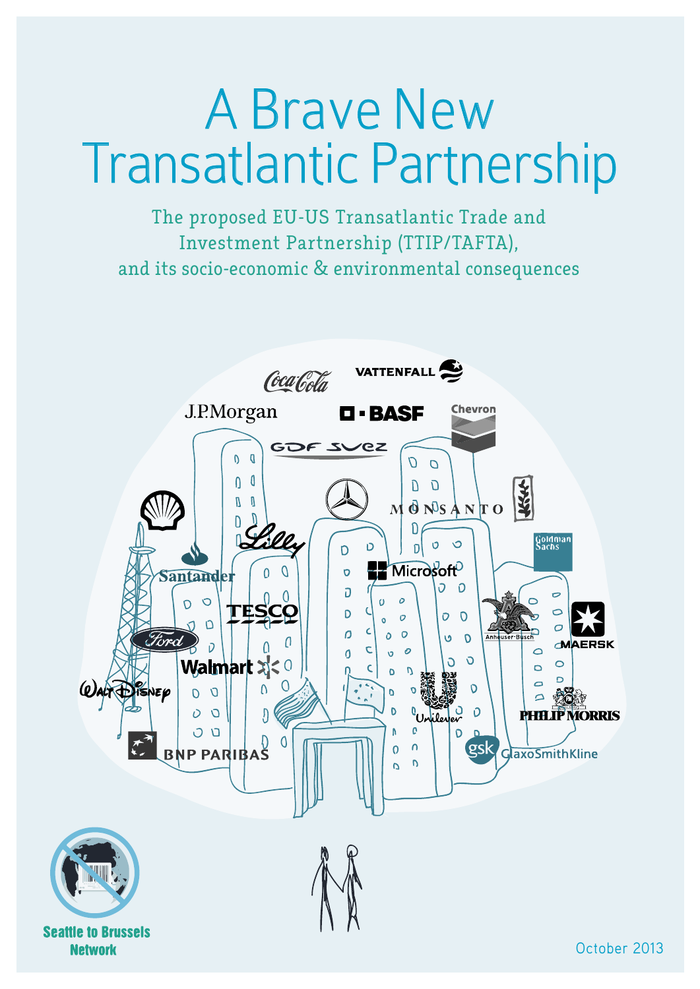# A Brave New Transatlantic Partnership

The proposed EU-US Transatlantic Trade and Investment Partnership (TTIP/TAFTA), and its socio-economic & environmental consequences



**Network**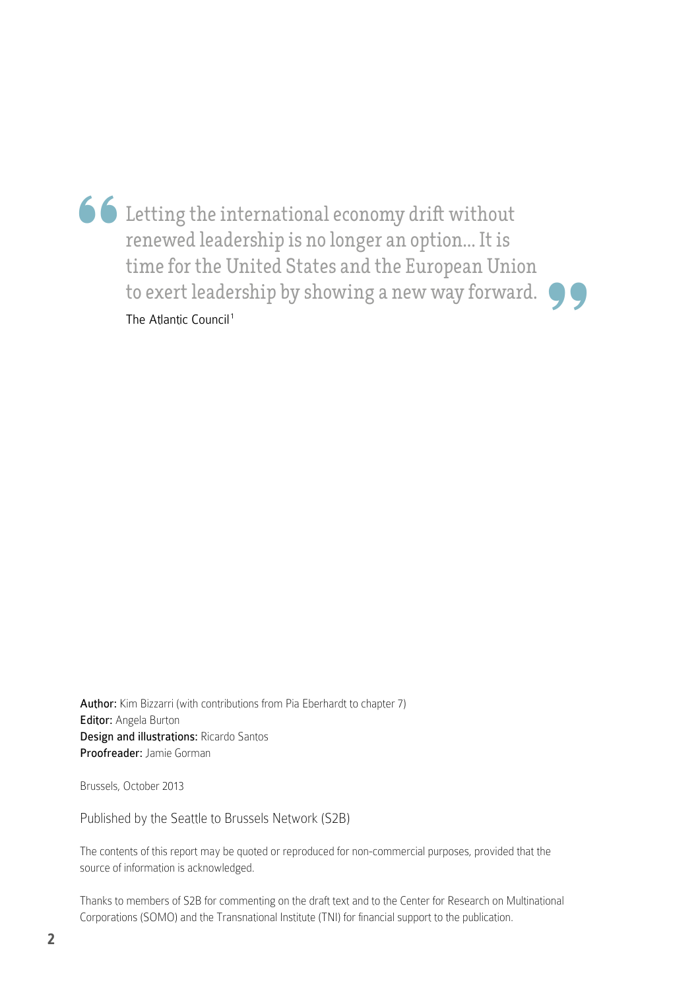**66** Letting the international economy drift without<br>renewed leadership is no longer an option... It is<br>time for the United States and the European Union<br>to exert leadership by showing a new way forward. Letting the international economy drift without renewed leadership is no longer an option... It is time for the United States and the European Union The Atlantic Council<sup>1</sup>

Author: Kim Bizzarri (with contributions from Pia Eberhardt to chapter 7) Editor: Angela Burton Design and illustrations: Ricardo Santos Proofreader: Jamie Gorman

Brussels, October 2013

Published by the Seattle to Brussels Network (S2B)

The contents of this report may be quoted or reproduced for non-commercial purposes, provided that the source of information is acknowledged.

Thanks to members of S2B for commenting on the draft text and to the Center for Research on Multinational Corporations (SOMO) and the Transnational Institute (TNI) for financial support to the publication.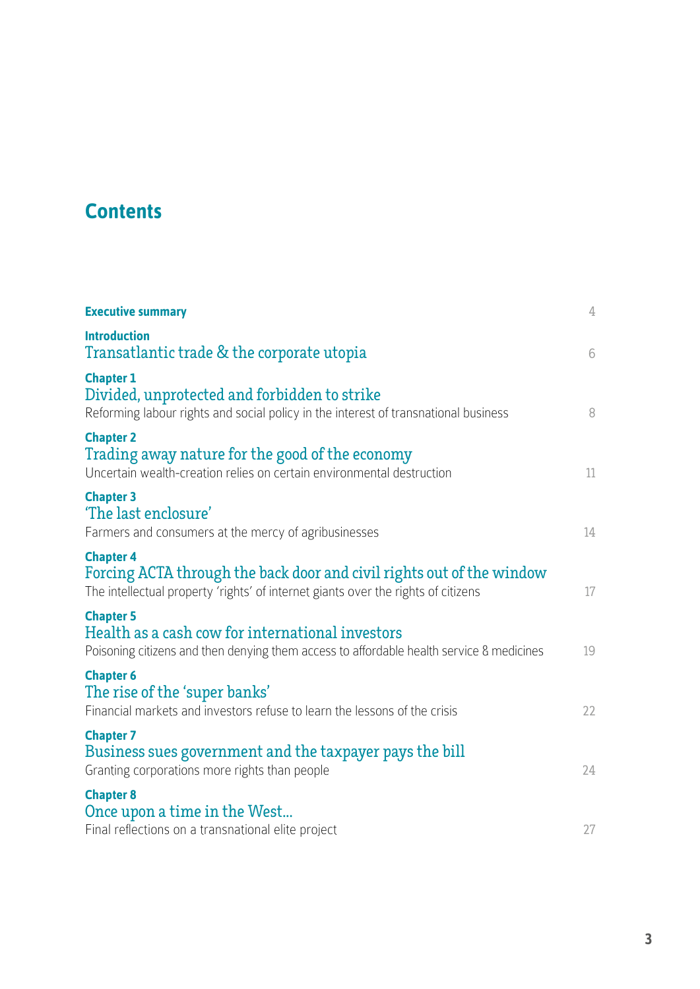# **Contents**

| <b>Executive summary</b>                                                                                                                                                       | $\mathbf 4$ |
|--------------------------------------------------------------------------------------------------------------------------------------------------------------------------------|-------------|
| <b>Introduction</b><br>Transatlantic trade & the corporate utopia                                                                                                              | 6           |
| <b>Chapter 1</b><br>Divided, unprotected and forbidden to strike<br>Reforming labour rights and social policy in the interest of transnational business                        | 8           |
| <b>Chapter 2</b><br>Trading away nature for the good of the economy<br>Uncertain wealth-creation relies on certain environmental destruction                                   | 11          |
| <b>Chapter 3</b><br>'The last enclosure'<br>Farmers and consumers at the mercy of agribusinesses                                                                               | 14          |
| <b>Chapter 4</b><br>Forcing ACTA through the back door and civil rights out of the window<br>The intellectual property 'rights' of internet giants over the rights of citizens | 17          |
| <b>Chapter 5</b><br>Health as a cash cow for international investors<br>Poisoning citizens and then denying them access to affordable health service 8 medicines               | 19          |
| <b>Chapter 6</b><br>The rise of the 'super banks'<br>Financial markets and investors refuse to learn the lessons of the crisis                                                 | 22          |
| <b>Chapter 7</b><br>Business sues government and the taxpayer pays the bill<br>Granting corporations more rights than people                                                   | 24          |
| <b>Chapter 8</b><br>Once upon a time in the West<br>Final reflections on a transnational elite project                                                                         | 27          |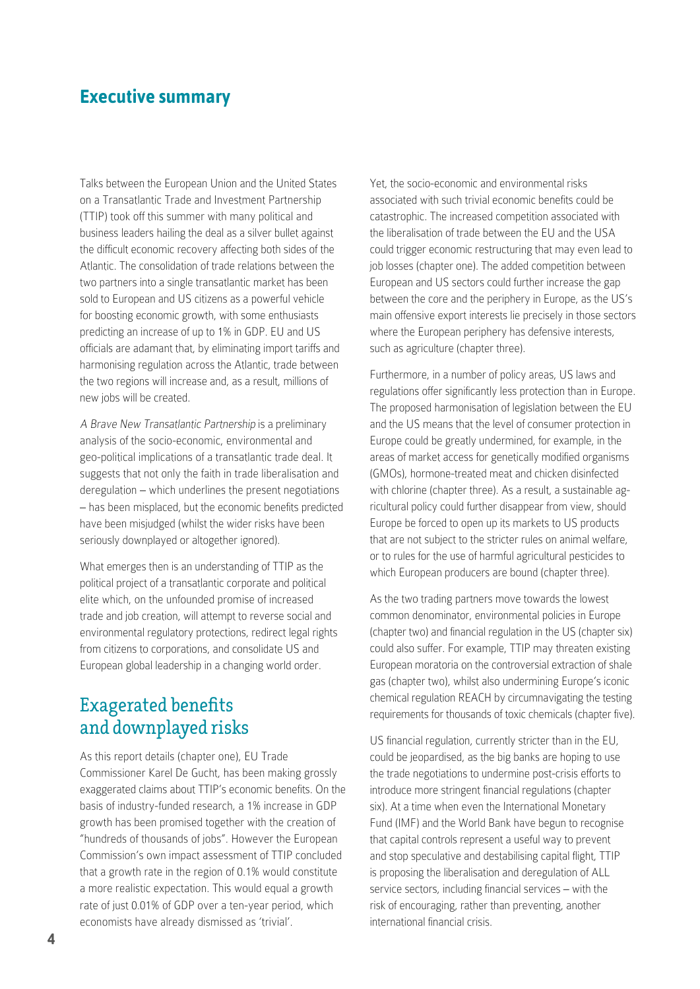#### **Executive summary**

Talks between the European Union and the United States on a Transatlantic Trade and Investment Partnership (TTIP) took off this summer with many political and business leaders hailing the deal as a silver bullet against the difficult economic recovery affecting both sides of the Atlantic. The consolidation of trade relations between the two partners into a single transatlantic market has been sold to European and US citizens as a powerful vehicle for boosting economic growth, with some enthusiasts predicting an increase of up to 1% in GDP. EU and US officials are adamant that, by eliminating import tariffs and harmonising regulation across the Atlantic, trade between the two regions will increase and, as a result, millions of new jobs will be created.

A Brave New Transatlantic Partnership is a preliminary analysis of the socio-economic, environmental and geo-political implications of a transatlantic trade deal. It suggests that not only the faith in trade liberalisation and deregulation – which underlines the present negotiations – has been misplaced, but the economic benefits predicted have been misjudged (whilst the wider risks have been seriously downplayed or altogether ignored).

What emerges then is an understanding of TTIP as the political project of a transatlantic corporate and political elite which, on the unfounded promise of increased trade and job creation, will attempt to reverse social and environmental regulatory protections, redirect legal rights from citizens to corporations, and consolidate US and European global leadership in a changing world order.

#### Exagerated benefits and downplayed risks

As this report details (chapter one), EU Trade Commissioner Karel De Gucht, has been making grossly exaggerated claims about TTIP's economic benefits. On the basis of industry-funded research, a 1% increase in GDP growth has been promised together with the creation of "hundreds of thousands of jobs". However the European Commission's own impact assessment of TTIP concluded that a growth rate in the region of 0.1% would constitute a more realistic expectation. This would equal a growth rate of just 0.01% of GDP over a ten-year period, which economists have already dismissed as 'trivial'.

Yet, the socio-economic and environmental risks associated with such trivial economic benefits could be catastrophic. The increased competition associated with the liberalisation of trade between the EU and the USA could trigger economic restructuring that may even lead to job losses (chapter one). The added competition between European and US sectors could further increase the gap between the core and the periphery in Europe, as the US's main offensive export interests lie precisely in those sectors where the European periphery has defensive interests, such as agriculture (chapter three).

Furthermore, in a number of policy areas, US laws and regulations offer significantly less protection than in Europe. The proposed harmonisation of legislation between the EU and the US means that the level of consumer protection in Europe could be greatly undermined, for example, in the areas of market access for genetically modified organisms (GMOs), hormone-treated meat and chicken disinfected with chlorine (chapter three). As a result, a sustainable agricultural policy could further disappear from view, should Europe be forced to open up its markets to US products that are not subject to the stricter rules on animal welfare, or to rules for the use of harmful agricultural pesticides to which European producers are bound (chapter three).

As the two trading partners move towards the lowest common denominator, environmental policies in Europe (chapter two) and financial regulation in the US (chapter six) could also suffer. For example, TTIP may threaten existing European moratoria on the controversial extraction of shale gas (chapter two), whilst also undermining Europe's iconic chemical regulation REACH by circumnavigating the testing requirements for thousands of toxic chemicals (chapter five).

US financial regulation, currently stricter than in the EU, could be jeopardised, as the big banks are hoping to use the trade negotiations to undermine post-crisis efforts to introduce more stringent financial regulations (chapter six). At a time when even the International Monetary Fund (IMF) and the World Bank have begun to recognise that capital controls represent a useful way to prevent and stop speculative and destabilising capital flight, TTIP is proposing the liberalisation and deregulation of ALL service sectors, including financial services – with the risk of encouraging, rather than preventing, another international financial crisis.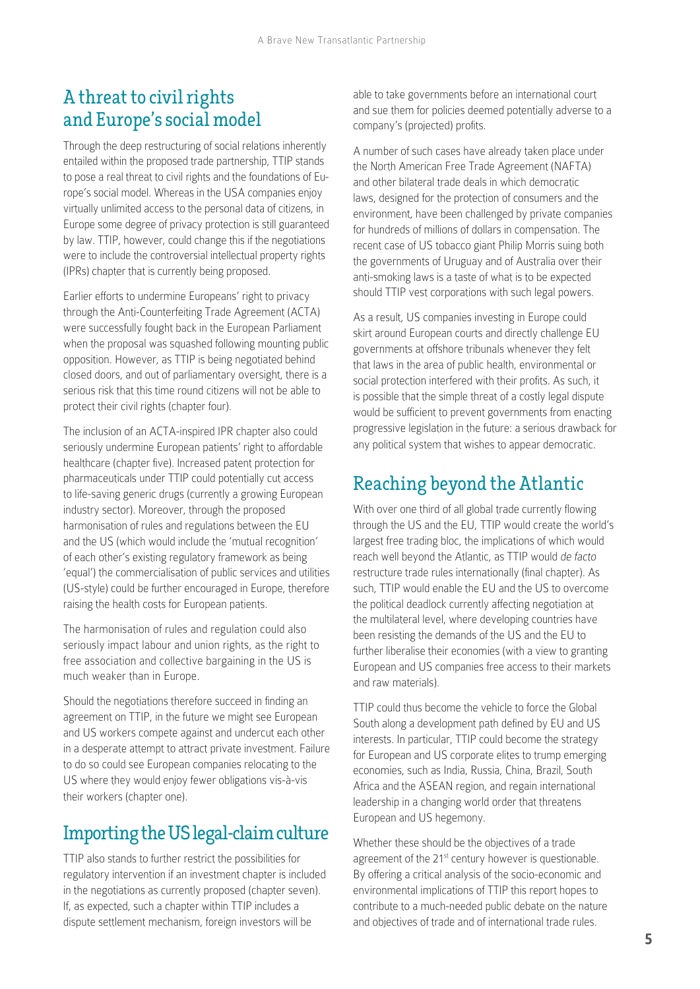#### A threat to civil rights and Europe's social model

Through the deep restructuring of social relations inherently entailed within the proposed trade partnership, TTIP stands to pose a real threat to civil rights and the foundations of Europe's social model. Whereas in the USA companies enjoy virtually unlimited access to the personal data of citizens, in Europe some degree of privacy protection is still guaranteed by law. TTIP, however, could change this if the negotiations were to include the controversial intellectual property rights (IPRs) chapter that is currently being proposed.

Earlier efforts to undermine Europeans' right to privacy through the Anti-Counterfeiting Trade Agreement (ACTA) were successfully fought back in the European Parliament when the proposal was squashed following mounting public opposition. However, as TTIP is being negotiated behind closed doors, and out of parliamentary oversight, there is a serious risk that this time round citizens will not be able to protect their civil rights (chapter four).

The inclusion of an ACTA-inspired IPR chapter also could seriously undermine European patients' right to affordable healthcare (chapter five). Increased patent protection for pharmaceuticals under TTIP could potentially cut access to life-saving generic drugs (currently a growing European industry sector). Moreover, through the proposed harmonisation of rules and regulations between the EU and the US (which would include the 'mutual recognition' of each other's existing regulatory framework as being 'equal') the commercialisation of public services and utilities (US-style) could be further encouraged in Europe, therefore raising the health costs for European patients.

The harmonisation of rules and regulation could also seriously impact labour and union rights, as the right to free association and collective bargaining in the US is much weaker than in Europe.

Should the negotiations therefore succeed in finding an agreement on TTIP, in the future we might see European and US workers compete against and undercut each other in a desperate attempt to attract private investment. Failure to do so could see European companies relocating to the US where they would enjoy fewer obligations vis-à-vis their workers (chapter one).

#### Importing the US legal-claim culture

TTIP also stands to further restrict the possibilities for regulatory intervention if an investment chapter is included in the negotiations as currently proposed (chapter seven). If, as expected, such a chapter within TTIP includes a dispute settlement mechanism, foreign investors will be

able to take governments before an international court and sue them for policies deemed potentially adverse to a company's (projected) profits.

A number of such cases have already taken place under the North American Free Trade Agreement (NAFTA) and other bilateral trade deals in which democratic laws, designed for the protection of consumers and the environment, have been challenged by private companies for hundreds of millions of dollars in compensation. The recent case of US tobacco giant Philip Morris suing both the governments of Uruguay and of Australia over their anti-smoking laws is a taste of what is to be expected should TTIP vest corporations with such legal powers.

As a result, US companies investing in Europe could skirt around European courts and directly challenge EU governments at offshore tribunals whenever they felt that laws in the area of public health, environmental or social protection interfered with their profits. As such, it is possible that the simple threat of a costly legal dispute would be sufficient to prevent governments from enacting progressive legislation in the future: a serious drawback for any political system that wishes to appear democratic.

#### Reaching beyond the Atlantic

With over one third of all global trade currently flowing through the US and the EU, TTIP would create the world's largest free trading bloc, the implications of which would reach well beyond the Atlantic, as TTIP would de facto restructure trade rules internationally (final chapter). As such, TTIP would enable the EU and the US to overcome the political deadlock currently affecting negotiation at the multilateral level, where developing countries have been resisting the demands of the US and the EU to further liberalise their economies (with a view to granting European and US companies free access to their markets and raw materials).

TTIP could thus become the vehicle to force the Global South along a development path defined by EU and US interests. In particular, TTIP could become the strategy for European and US corporate elites to trump emerging economies, such as India, Russia, China, Brazil, South Africa and the ASEAN region, and regain international leadership in a changing world order that threatens European and US hegemony.

Whether these should be the objectives of a trade agreement of the 21<sup>st</sup> century however is questionable. By offering a critical analysis of the socio-economic and environmental implications of TTIP this report hopes to contribute to a much-needed public debate on the nature and objectives of trade and of international trade rules.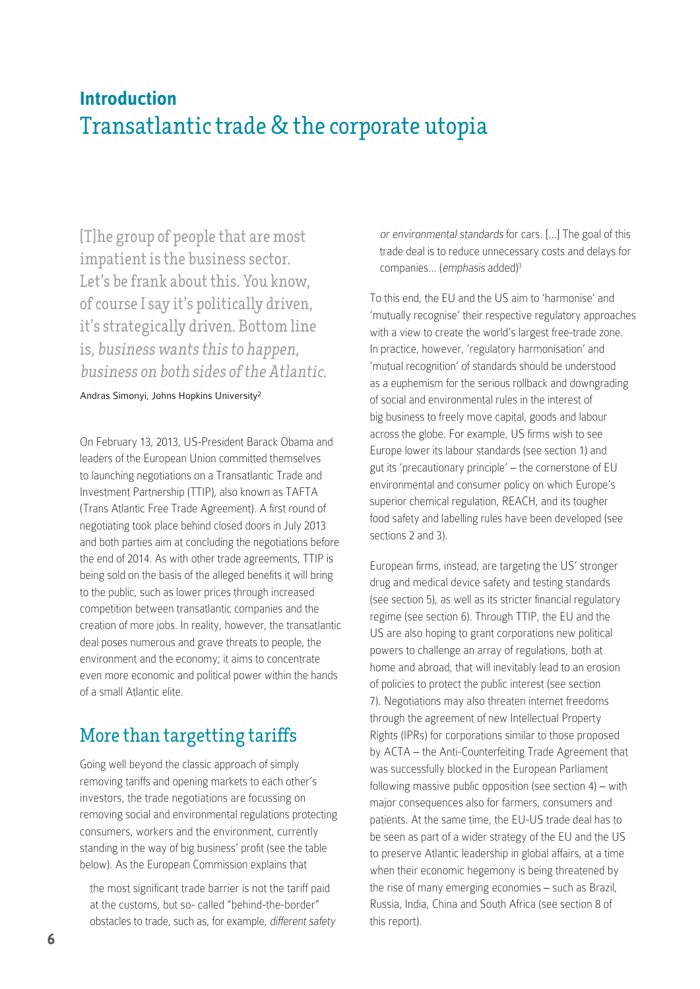### **Introduction** Transatlantic trade & the corporate utopia

[T]he group of people that are most impatient is the business sector. Let's be frank about this. You know, of course I say it's politically driven, it's strategically driven. Bottom line is, business wants this to happen, business on both sides of the Atlantic.

Andras Simonyi, Johns Hopkins University2

On February 13, 2013, US-President Barack Obama and leaders of the European Union committed themselves to launching negotiations on a Transatlantic Trade and Investment Partnership (TTIP), also known as TAFTA (Trans Atlantic Free Trade Agreement). A first round of negotiating took place behind closed doors in July 2013 and both parties aim at concluding the negotiations before the end of 2014. As with other trade agreements, TTIP is being sold on the basis of the alleged benefits it will bring to the public, such as lower prices through increased competition between transatlantic companies and the creation of more jobs. In reality, however, the transatlantic deal poses numerous and grave threats to people, the environment and the economy; it aims to concentrate even more economic and political power within the hands of a small Atlantic elite.

#### More than targetting tariffs

Going well beyond the classic approach of simply removing tariffs and opening markets to each other's investors, the trade negotiations are focussing on removing social and environmental regulations protecting consumers, workers and the environment, currently standing in the way of big business' profit (see the table below). As the European Commission explains that

the most significant trade barrier is not the tariff paid at the customs, but so- called "behind-the-border" obstacles to trade, such as, for example, different safety or environmental standards for cars. [...] The goal of this trade deal is to reduce unnecessary costs and delays for companies... (emphasis added)<sup>3</sup>

To this end, the EU and the US aim to 'harmonise' and 'mutually recognise' their respective regulatory approaches with a view to create the world's largest free-trade zone. In practice, however, 'regulatory harmonisation' and 'mutual recognition' of standards should be understood as a euphemism for the serious rollback and downgrading of social and environmental rules in the interest of big business to freely move capital, goods and labour across the globe. For example, US firms wish to see Europe lower its labour standards (see section 1) and gut its 'precautionary principle' – the cornerstone of EU environmental and consumer policy on which Europe's superior chemical regulation, REACH, and its tougher food safety and labelling rules have been developed (see sections 2 and 3).

European firms, instead, are targeting the US' stronger drug and medical device safety and testing standards (see section 5), as well as its stricter financial regulatory regime (see section 6). Through TTIP, the EU and the US are also hoping to grant corporations new political powers to challenge an array of regulations, both at home and abroad, that will inevitably lead to an erosion of policies to protect the public interest (see section 7). Negotiations may also threaten internet freedoms through the agreement of new Intellectual Property Rights (IPRs) for corporations similar to those proposed by ACTA – the Anti-Counterfeiting Trade Agreement that was successfully blocked in the European Parliament following massive public opposition (see section 4) – with major consequences also for farmers, consumers and patients. At the same time, the EU-US trade deal has to be seen as part of a wider strategy of the EU and the US to preserve Atlantic leadership in global affairs, at a time when their economic hegemony is being threatened by the rise of many emerging economies – such as Brazil, Russia, India, China and South Africa (see section 8 of this report).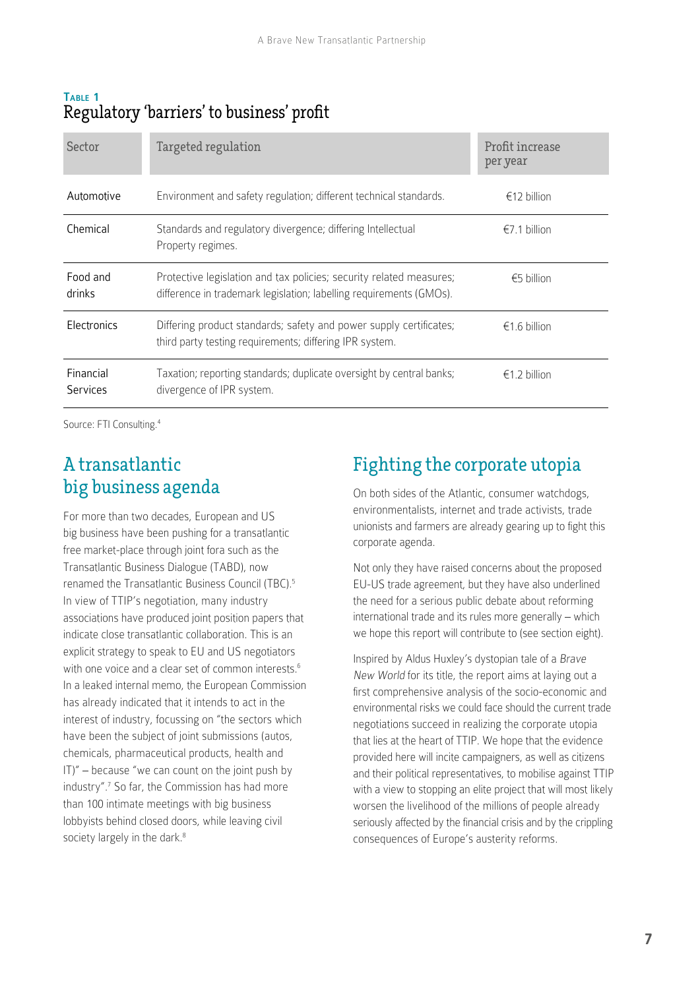#### Table 1 Regulatory 'barriers' to business' profit

| Sector                       | Targeted regulation                                                                                                                        | Profit increase<br>per year |
|------------------------------|--------------------------------------------------------------------------------------------------------------------------------------------|-----------------------------|
| Automotive                   | Environment and safety regulation; different technical standards.                                                                          | €12 billion                 |
| Chemical                     | Standards and regulatory divergence; differing Intellectual<br>Property regimes.                                                           | $\epsilon$ 7.1 billion      |
| Food and<br>drinks           | Protective legislation and tax policies; security related measures;<br>difference in trademark legislation; labelling requirements (GMOs). | €5 billion                  |
| Electronics                  | Differing product standards; safety and power supply certificates;<br>third party testing requirements; differing IPR system.              | $f$ 6 hillion               |
| Financial<br><b>Services</b> | Taxation; reporting standards; duplicate oversight by central banks;<br>divergence of IPR system.                                          | $\epsilon$ 1.2 billion      |

Source: FTI Consulting.4

#### A transatlantic big business agenda

For more than two decades, European and US big business have been pushing for a transatlantic free market-place through joint fora such as the Transatlantic Business Dialogue (TABD), now renamed the Transatlantic Business Council (TBC).5 In view of TTIP's negotiation, many industry associations have produced joint position papers that indicate close transatlantic collaboration. This is an explicit strategy to speak to EU and US negotiators with one voice and a clear set of common interests.<sup>6</sup> In a leaked internal memo, the European Commission has already indicated that it intends to act in the interest of industry, focussing on "the sectors which have been the subject of joint submissions (autos, chemicals, pharmaceutical products, health and  $|T|$ " – because "we can count on the joint push by industry".<sup>7</sup> So far, the Commission has had more than 100 intimate meetings with big business lobbyists behind closed doors, while leaving civil society largely in the dark.<sup>8</sup>

### Fighting the corporate utopia

On both sides of the Atlantic, consumer watchdogs, environmentalists, internet and trade activists, trade unionists and farmers are already gearing up to fight this corporate agenda.

Not only they have raised concerns about the proposed EU-US trade agreement, but they have also underlined the need for a serious public debate about reforming international trade and its rules more generally – which we hope this report will contribute to (see section eight).

Inspired by Aldus Huxley's dystopian tale of a Brave New World for its title, the report aims at laying out a first comprehensive analysis of the socio-economic and environmental risks we could face should the current trade negotiations succeed in realizing the corporate utopia that lies at the heart of TTIP. We hope that the evidence provided here will incite campaigners, as well as citizens and their political representatives, to mobilise against TTIP with a view to stopping an elite project that will most likely worsen the livelihood of the millions of people already seriously affected by the financial crisis and by the crippling consequences of Europe's austerity reforms.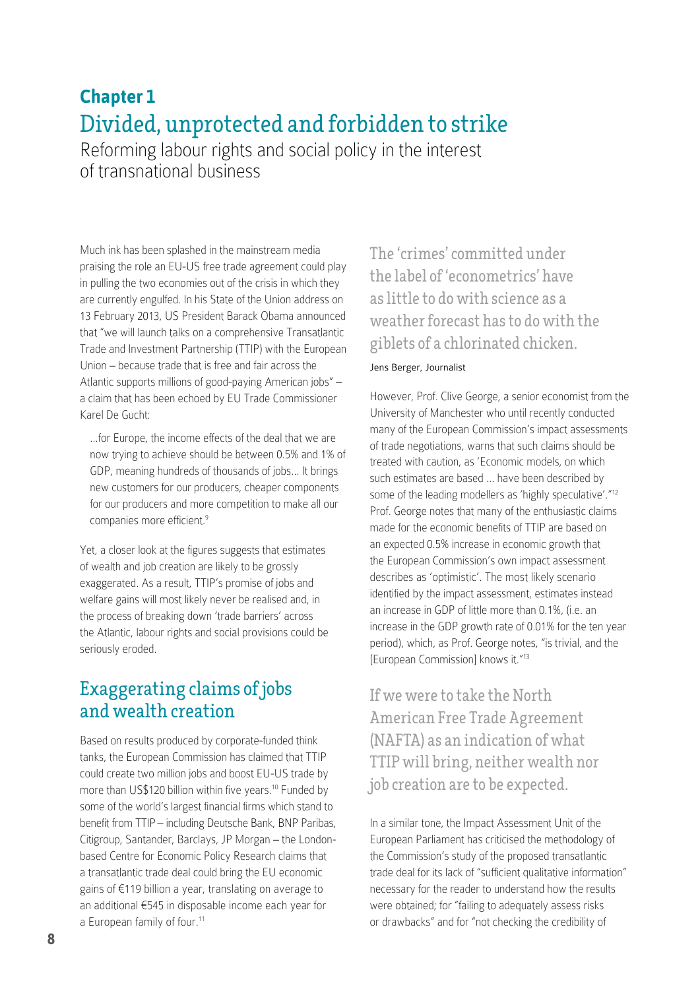# **Chapter 1** Divided, unprotected and forbidden to strike

Reforming labour rights and social policy in the interest of transnational business

Much ink has been splashed in the mainstream media praising the role an EU-US free trade agreement could play in pulling the two economies out of the crisis in which they are currently engulfed. In his State of the Union address on 13 February 2013, US President Barack Obama announced that "we will launch talks on a comprehensive Transatlantic Trade and Investment Partnership (TTIP) with the European Union – because trade that is free and fair across the Atlantic supports millions of good-paying American jobs" – a claim that has been echoed by EU Trade Commissioner Karel De Gucht:

…for Europe, the income effects of the deal that we are now trying to achieve should be between 0.5% and 1% of GDP, meaning hundreds of thousands of jobs… It brings new customers for our producers, cheaper components for our producers and more competition to make all our companies more efficient.<sup>9</sup>

Yet, a closer look at the figures suggests that estimates of wealth and job creation are likely to be grossly exaggerated. As a result, TTIP's promise of jobs and welfare gains will most likely never be realised and, in the process of breaking down 'trade barriers' across the Atlantic, labour rights and social provisions could be seriously eroded.

#### Exaggerating claims of jobs and wealth creation

Based on results produced by corporate-funded think tanks, the European Commission has claimed that TTIP could create two million jobs and boost EU-US trade by more than US\$120 billion within five years.10 Funded by some of the world's largest financial firms which stand to benefit from TTIP – including Deutsche Bank, BNP Paribas, Citigroup, Santander, Barclays, JP Morgan – the Londonbased Centre for Economic Policy Research claims that a transatlantic trade deal could bring the EU economic gains of €119 billion a year, translating on average to an additional €545 in disposable income each year for a European family of four.<sup>11</sup>

The 'crimes' committed under the label of 'econometrics' have as little to do with science as a weather forecast has to do with the giblets of a chlorinated chicken.

#### Jens Berger, Journalist

However, Prof. Clive George, a senior economist from the University of Manchester who until recently conducted many of the European Commission's impact assessments of trade negotiations, warns that such claims should be treated with caution, as 'Economic models, on which such estimates are based … have been described by some of the leading modellers as 'highly speculative'."<sup>12</sup> Prof. George notes that many of the enthusiastic claims made for the economic benefits of TTIP are based on an expected 0.5% increase in economic growth that the European Commission's own impact assessment describes as 'optimistic'. The most likely scenario identified by the impact assessment, estimates instead an increase in GDP of little more than 0.1%, (i.e. an increase in the GDP growth rate of 0.01% for the ten year period), which, as Prof. George notes, "is trivial, and the [European Commission] knows it."<sup>13</sup>

If we were to take the North American Free Trade Agreement (NAFTA) as an indication of what TTIP will bring, neither wealth nor job creation are to be expected.

In a similar tone, the Impact Assessment Unit of the European Parliament has criticised the methodology of the Commission's study of the proposed transatlantic trade deal for its lack of "sufficient qualitative information" necessary for the reader to understand how the results were obtained; for "failing to adequately assess risks or drawbacks" and for "not checking the credibility of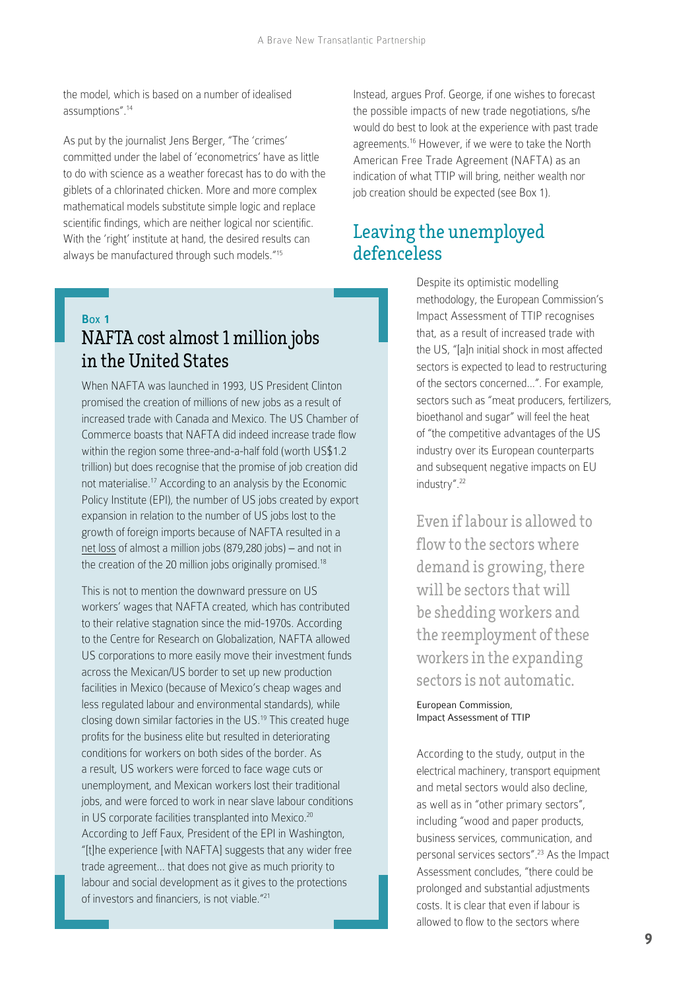the model, which is based on a number of idealised assumptions".<sup>14</sup>

As put by the journalist Jens Berger, "The 'crimes' committed under the label of 'econometrics' have as little to do with science as a weather forecast has to do with the giblets of a chlorinated chicken. More and more complex mathematical models substitute simple logic and replace scientific findings, which are neither logical nor scientific. With the 'right' institute at hand, the desired results can always be manufactured through such models."<sup>15</sup>

#### Box 1

### NAFTA cost almost 1 million jobs in the United States

When NAFTA was launched in 1993, US President Clinton promised the creation of millions of new jobs as a result of increased trade with Canada and Mexico. The US Chamber of Commerce boasts that NAFTA did indeed increase trade flow within the region some three-and-a-half fold (worth US\$1.2 trillion) but does recognise that the promise of job creation did not materialise.17 According to an analysis by the Economic Policy Institute (EPI), the number of US jobs created by export expansion in relation to the number of US jobs lost to the growth of foreign imports because of NAFTA resulted in a net loss of almost a million jobs (879,280 jobs) – and not in the creation of the 20 million jobs originally promised.<sup>18</sup>

This is not to mention the downward pressure on US workers' wages that NAFTA created, which has contributed to their relative stagnation since the mid-1970s. According to the Centre for Research on Globalization, NAFTA allowed US corporations to more easily move their investment funds across the Mexican/US border to set up new production facilities in Mexico (because of Mexico's cheap wages and less regulated labour and environmental standards), while closing down similar factories in the US.19 This created huge profits for the business elite but resulted in deteriorating conditions for workers on both sides of the border. As a result, US workers were forced to face wage cuts or unemployment, and Mexican workers lost their traditional jobs, and were forced to work in near slave labour conditions in US corporate facilities transplanted into Mexico.<sup>20</sup> According to Jeff Faux, President of the EPI in Washington, "[t]he experience [with NAFTA] suggests that any wider free trade agreement... that does not give as much priority to labour and social development as it gives to the protections of investors and financiers, is not viable."<sup>21</sup>

Instead, argues Prof. George, if one wishes to forecast the possible impacts of new trade negotiations, s/he would do best to look at the experience with past trade agreements.16 However, if we were to take the North American Free Trade Agreement (NAFTA) as an indication of what TTIP will bring, neither wealth nor job creation should be expected (see Box 1).

#### Leaving the unemployed defenceless

Despite its optimistic modelling methodology, the European Commission's Impact Assessment of TTIP recognises that, as a result of increased trade with the US, "[a]n initial shock in most affected sectors is expected to lead to restructuring of the sectors concerned...". For example, sectors such as "meat producers, fertilizers, bioethanol and sugar" will feel the heat of "the competitive advantages of the US industry over its European counterparts and subsequent negative impacts on EU industry".<sup>22</sup>

Even if labour is allowed to flow to the sectors where demand is growing, there will be sectors that will be shedding workers and the reemployment of these workers in the expanding sectors is not automatic.

European Commission, Impact Assessment of TTIP

According to the study, output in the electrical machinery, transport equipment and metal sectors would also decline, as well as in "other primary sectors", including "wood and paper products, business services, communication, and personal services sectors".23 As the Impact Assessment concludes, "there could be prolonged and substantial adjustments costs. It is clear that even if labour is allowed to flow to the sectors where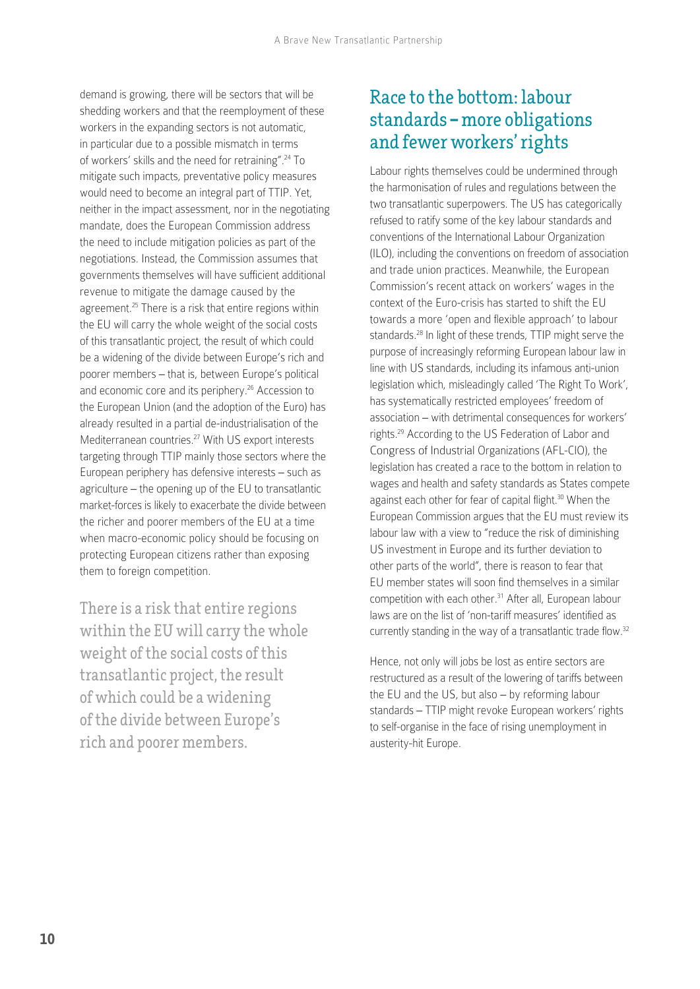demand is growing, there will be sectors that will be shedding workers and that the reemployment of these workers in the expanding sectors is not automatic, in particular due to a possible mismatch in terms of workers' skills and the need for retraining".24 To mitigate such impacts, preventative policy measures would need to become an integral part of TTIP. Yet, neither in the impact assessment, nor in the negotiating mandate, does the European Commission address the need to include mitigation policies as part of the negotiations. Instead, the Commission assumes that governments themselves will have sufficient additional revenue to mitigate the damage caused by the agreement.<sup>25</sup> There is a risk that entire regions within the EU will carry the whole weight of the social costs of this transatlantic project, the result of which could be a widening of the divide between Europe's rich and poorer members – that is, between Europe's political and economic core and its periphery.<sup>26</sup> Accession to the European Union (and the adoption of the Euro) has already resulted in a partial de-industrialisation of the Mediterranean countries.27 With US export interests targeting through TTIP mainly those sectors where the European periphery has defensive interests – such as agriculture – the opening up of the EU to transatlantic market-forces is likely to exacerbate the divide between the richer and poorer members of the EU at a time when macro-economic policy should be focusing on protecting European citizens rather than exposing them to foreign competition.

There is a risk that entire regions within the EU will carry the whole weight of the social costs of this transatlantic project, the result of which could be a widening of the divide between Europe's rich and poorer members.

#### Race to the bottom: labour standards **–** more obligations and fewer workers' rights

Labour rights themselves could be undermined through the harmonisation of rules and regulations between the two transatlantic superpowers. The US has categorically refused to ratify some of the key labour standards and conventions of the International Labour Organization (ILO), including the conventions on freedom of association and trade union practices. Meanwhile, the European Commission's recent attack on workers' wages in the context of the Euro-crisis has started to shift the EU towards a more 'open and flexible approach' to labour standards.28 In light of these trends, TTIP might serve the purpose of increasingly reforming European labour law in line with US standards, including its infamous anti-union legislation which, misleadingly called 'The Right To Work', has systematically restricted employees' freedom of association – with detrimental consequences for workers' rights.29 According to the US Federation of Labor and Congress of Industrial Organizations (AFL-CIO), the legislation has created a race to the bottom in relation to wages and health and safety standards as States compete against each other for fear of capital flight.<sup>30</sup> When the European Commission argues that the EU must review its labour law with a view to "reduce the risk of diminishing US investment in Europe and its further deviation to other parts of the world", there is reason to fear that EU member states will soon find themselves in a similar competition with each other.<sup>31</sup> After all, European labour laws are on the list of 'non-tariff measures' identified as currently standing in the way of a transatlantic trade flow.<sup>32</sup>

Hence, not only will jobs be lost as entire sectors are restructured as a result of the lowering of tariffs between the EU and the US, but also – by reforming labour standards – TTIP might revoke European workers' rights to self-organise in the face of rising unemployment in austerity-hit Europe.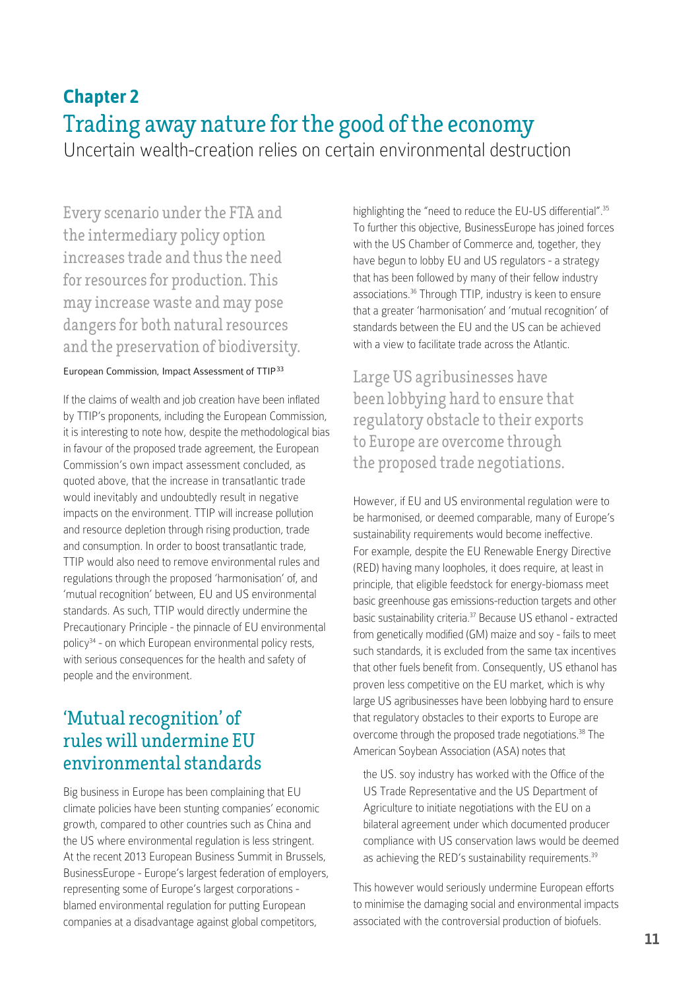# **Chapter 2** Trading away nature for the good of the economy

Uncertain wealth-creation relies on certain environmental destruction

Every scenario under the FTA and the intermediary policy option increases trade and thus the need for resources for production. This may increase waste and may pose dangers for both natural resources and the preservation of biodiversity.

#### European Commission, Impact Assessment of TTIP33

If the claims of wealth and job creation have been inflated by TTIP's proponents, including the European Commission, it is interesting to note how, despite the methodological bias in favour of the proposed trade agreement, the European Commission's own impact assessment concluded, as quoted above, that the increase in transatlantic trade would inevitably and undoubtedly result in negative impacts on the environment. TTIP will increase pollution and resource depletion through rising production, trade and consumption. In order to boost transatlantic trade, TTIP would also need to remove environmental rules and regulations through the proposed 'harmonisation' of, and 'mutual recognition' between, EU and US environmental standards. As such, TTIP would directly undermine the Precautionary Principle - the pinnacle of EU environmental policy<sup>34</sup> - on which European environmental policy rests, with serious consequences for the health and safety of people and the environment.

#### 'Mutual recognition' of rules will undermine EU environmental standards

Big business in Europe has been complaining that EU climate policies have been stunting companies' economic growth, compared to other countries such as China and the US where environmental regulation is less stringent. At the recent 2013 European Business Summit in Brussels, BusinessEurope - Europe's largest federation of employers, representing some of Europe's largest corporations blamed environmental regulation for putting European companies at a disadvantage against global competitors,

highlighting the "need to reduce the EU-US differential".<sup>35</sup> To further this objective, BusinessEurope has joined forces with the US Chamber of Commerce and, together, they have begun to lobby EU and US regulators - a strategy that has been followed by many of their fellow industry associations.36 Through TTIP, industry is keen to ensure that a greater 'harmonisation' and 'mutual recognition' of standards between the EU and the US can be achieved with a view to facilitate trade across the Atlantic.

Large US agribusinesses have been lobbying hard to ensure that regulatory obstacle to their exports to Europe are overcome through the proposed trade negotiations.

However, if EU and US environmental regulation were to be harmonised, or deemed comparable, many of Europe's sustainability requirements would become ineffective. For example, despite the EU Renewable Energy Directive (RED) having many loopholes, it does require, at least in principle, that eligible feedstock for energy-biomass meet basic greenhouse gas emissions-reduction targets and other basic sustainability criteria.37 Because US ethanol - extracted from genetically modified (GM) maize and soy - fails to meet such standards, it is excluded from the same tax incentives that other fuels benefit from. Consequently, US ethanol has proven less competitive on the EU market, which is why large US agribusinesses have been lobbying hard to ensure that regulatory obstacles to their exports to Europe are overcome through the proposed trade negotiations.<sup>38</sup> The American Soybean Association (ASA) notes that

the US. soy industry has worked with the Office of the US Trade Representative and the US Department of Agriculture to initiate negotiations with the EU on a bilateral agreement under which documented producer compliance with US conservation laws would be deemed as achieving the RED's sustainability requirements.<sup>39</sup>

This however would seriously undermine European efforts to minimise the damaging social and environmental impacts associated with the controversial production of biofuels.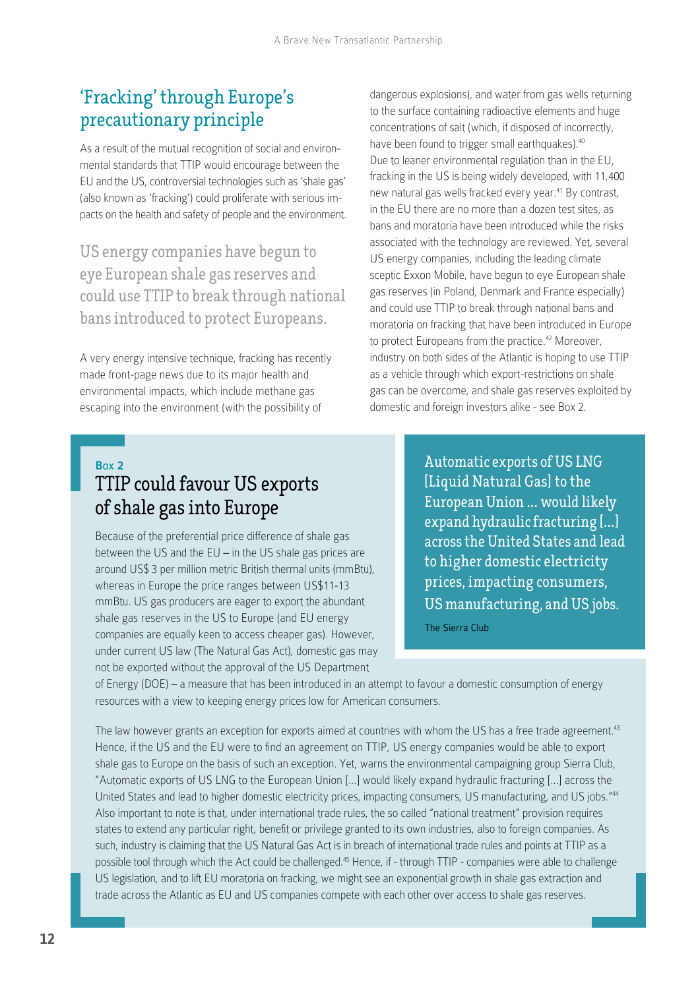### 'Fracking' through Europe's precautionary principle

As a result of the mutual recognition of social and environmental standards that TTIP would encourage between the EU and the US, controversial technologies such as 'shale gas' (also known as 'fracking') could proliferate with serious impacts on the health and safety of people and the environment.

US energy companies have begun to eye European shale gas reserves and could use TTIP to break through national bans introduced to protect Europeans.

A very energy intensive technique, fracking has recently made front-page news due to its major health and environmental impacts, which include methane gas escaping into the environment (with the possibility of

dangerous explosions), and water from gas wells returning to the surface containing radioactive elements and huge concentrations of salt (which, if disposed of incorrectly, have been found to trigger small earthquakes).<sup>40</sup> Due to leaner environmental regulation than in the EU, fracking in the US is being widely developed, with 11,400 new natural gas wells fracked every year.<sup>41</sup> By contrast, in the EU there are no more than a dozen test sites, as bans and moratoria have been introduced while the risks associated with the technology are reviewed. Yet, several US energy companies, including the leading climate sceptic Exxon Mobile, have begun to eye European shale gas reserves (in Poland, Denmark and France especially) and could use TTIP to break through national bans and moratoria on fracking that have been introduced in Europe to protect Europeans from the practice.<sup>42</sup> Moreover, industry on both sides of the Atlantic is hoping to use TTIP as a vehicle through which export-restrictions on shale gas can be overcome, and shale gas reserves exploited by domestic and foreign investors alike - see Box 2.

#### Box 2

# TTIP could favour US exports of shale gas into Europe

Because of the preferential price difference of shale gas between the US and the EU – in the US shale gas prices are around US\$ 3 per million metric British thermal units (mmBtu), whereas in Europe the price ranges between US\$11-13 mmBtu. US gas producers are eager to export the abundant shale gas reserves in the US to Europe (and EU energy companies are equally keen to access cheaper gas). However, under current US law (The Natural Gas Act), domestic gas may not be exported without the approval of the US Department

Automatic exports of US LNG [Liquid Natural Gas] to the European Union **…** would likely expand hydraulic fracturing [**…**] across the United States and lead to higher domestic electricity prices, impacting consumers, US manufacturing, and US jobs. The Sierra Club

of Energy (DOE) – a measure that has been introduced in an attempt to favour a domestic consumption of energy resources with a view to keeping energy prices low for American consumers.

The law however grants an exception for exports aimed at countries with whom the US has a free trade agreement.<sup>43</sup> Hence, if the US and the EU were to find an agreement on TTIP, US energy companies would be able to export shale gas to Europe on the basis of such an exception. Yet, warns the environmental campaigning group Sierra Club, "Automatic exports of US LNG to the European Union […] would likely expand hydraulic fracturing […] across the United States and lead to higher domestic electricity prices, impacting consumers, US manufacturing, and US jobs."<sup>44</sup> Also important to note is that, under international trade rules, the so called "national treatment" provision requires states to extend any particular right, benefit or privilege granted to its own industries, also to foreign companies. As such, industry is claiming that the US Natural Gas Act is in breach of international trade rules and points at TTIP as a possible tool through which the Act could be challenged.<sup>45</sup> Hence, if - through TTIP - companies were able to challenge US legislation, and to lift EU moratoria on fracking, we might see an exponential growth in shale gas extraction and trade across the Atlantic as EU and US companies compete with each other over access to shale gas reserves.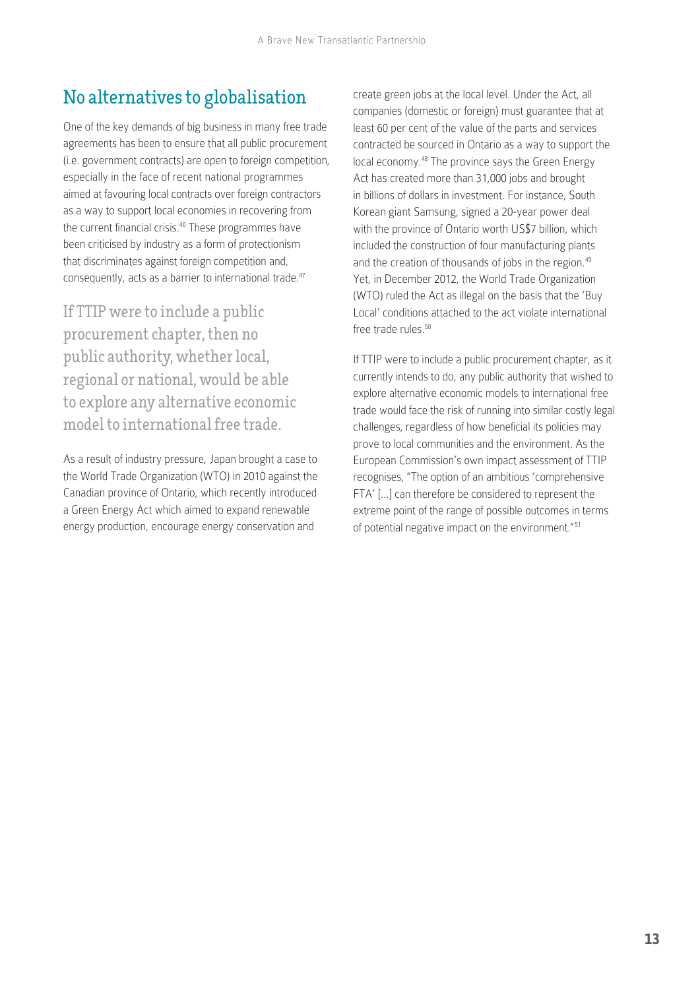### No alternatives to globalisation

One of the key demands of big business in many free trade agreements has been to ensure that all public procurement (i.e. government contracts) are open to foreign competition, especially in the face of recent national programmes aimed at favouring local contracts over foreign contractors as a way to support local economies in recovering from the current financial crisis.<sup>46</sup> These programmes have been criticised by industry as a form of protectionism that discriminates against foreign competition and, consequently, acts as a barrier to international trade.47

If TTIP were to include a public procurement chapter, then no public authority, whether local, regional or national, would be able to explore any alternative economic model to international free trade.

As a result of industry pressure, Japan brought a case to the World Trade Organization (WTO) in 2010 against the Canadian province of Ontario, which recently introduced a Green Energy Act which aimed to expand [renewable](http://en.wikipedia.org/wiki/Renewable_energy)  [energy](http://en.wikipedia.org/wiki/Renewable_energy) production, encourage [energy conservation](http://en.wikipedia.org/wiki/Energy_conservation) and

create green jobs at the local level. Under the Act, all companies (domestic or foreign) must guarantee that at least 60 per cent of the value of the parts and services contracted be sourced in Ontario as a way to support the local economy.48 The province says the Green Energy Act has created more than 31,000 jobs and brought in billions of dollars in investment. For instance, South Korean giant Samsung, signed a 20-year power deal with the province of Ontario worth US\$7 billion, which included the construction of four manufacturing plants and the creation of thousands of jobs in the region.<sup>49</sup> Yet, in December 2012, the World Trade Organization (WTO) ruled the Act as illegal on the basis that the 'Buy Local' conditions attached to the act violate international free trade rules.<sup>50</sup>

If TTIP were to include a public procurement chapter, as it currently intends to do, any public authority that wished to explore alternative economic models to international free trade would face the risk of running into similar costly legal challenges, regardless of how beneficial its policies may prove to local communities and the environment. As the European Commission's own impact assessment of TTIP recognises, "The option of an ambitious 'comprehensive FTA' […] can therefore be considered to represent the extreme point of the range of possible outcomes in terms of potential negative impact on the environment."51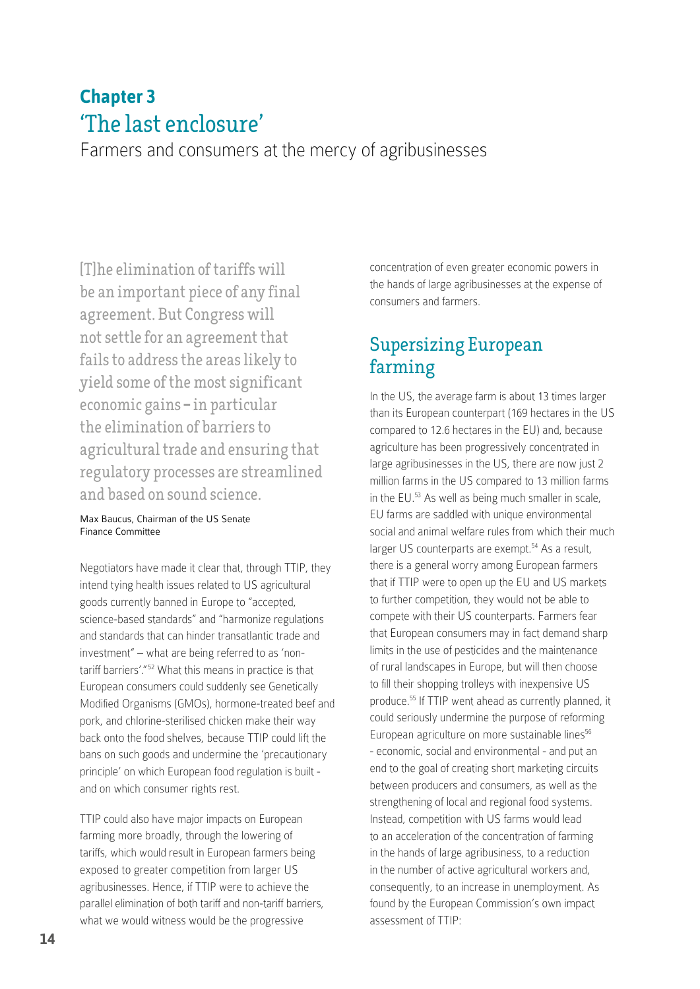# **Chapter 3** 'The last enclosure'

Farmers and consumers at the mercy of agribusinesses

[T]he elimination of tariffs will be an important piece of any final agreement. But Congress will not settle for an agreement that fails to address the areas likely to yield some of the most significant economic gains **–** in particular the elimination of barriers to agricultural trade and ensuring that regulatory processes are streamlined and based on sound science.

#### Max Baucus, Chairman of the US Senate Finance Committee

Negotiators have made it clear that, through TTIP, they intend tying health issues related to US agricultural goods currently banned in Europe to "accepted, science-based standards" and "harmonize regulations and standards that can hinder transatlantic trade and investment" – what are being referred to as 'nontariff barriers'."<sup>52</sup> What this means in practice is that European consumers could suddenly see Genetically Modified Organisms (GMOs), hormone-treated beef and pork, and chlorine-sterilised chicken make their way back onto the food shelves, because TTIP could lift the bans on such goods and undermine the 'precautionary principle' on which European food regulation is built and on which consumer rights rest.

TTIP could also have major impacts on European farming more broadly, through the lowering of tariffs, which would result in European farmers being exposed to greater competition from larger US agribusinesses. Hence, if TTIP were to achieve the parallel elimination of both tariff and non-tariff barriers, what we would witness would be the progressive

concentration of even greater economic powers in the hands of large agribusinesses at the expense of consumers and farmers.

#### Supersizing European farming

In the US, the average farm is about 13 times larger than its European counterpart (169 hectares in the US compared to 12.6 hectares in the EU) and, because agriculture has been progressively concentrated in large agribusinesses in the US, there are now just 2 million farms in the US compared to 13 million farms in the EU.53 As well as being much smaller in scale, EU farms are saddled with unique environmental social and animal welfare rules from which their much larger US counterparts are exempt.<sup>54</sup> As a result, there is a general worry among European farmers that if TTIP were to open up the EU and US markets to further competition, they would not be able to compete with their US counterparts. Farmers fear that European consumers may in fact demand sharp limits in the use of pesticides and the maintenance of rural landscapes in Europe, but will then choose to fill their shopping trolleys with inexpensive US produce.55 If TTIP went ahead as currently planned, it could seriously undermine the purpose of reforming European agriculture on more sustainable lines<sup>56</sup> - economic, social and environmental - and put an end to the goal of creating short marketing circuits between producers and consumers, as well as the strengthening of local and regional food systems. Instead, competition with US farms would lead to an acceleration of the concentration of farming in the hands of large agribusiness, to a reduction in the number of active agricultural workers and, consequently, to an increase in unemployment. As found by the European Commission's own impact assessment of TTIP: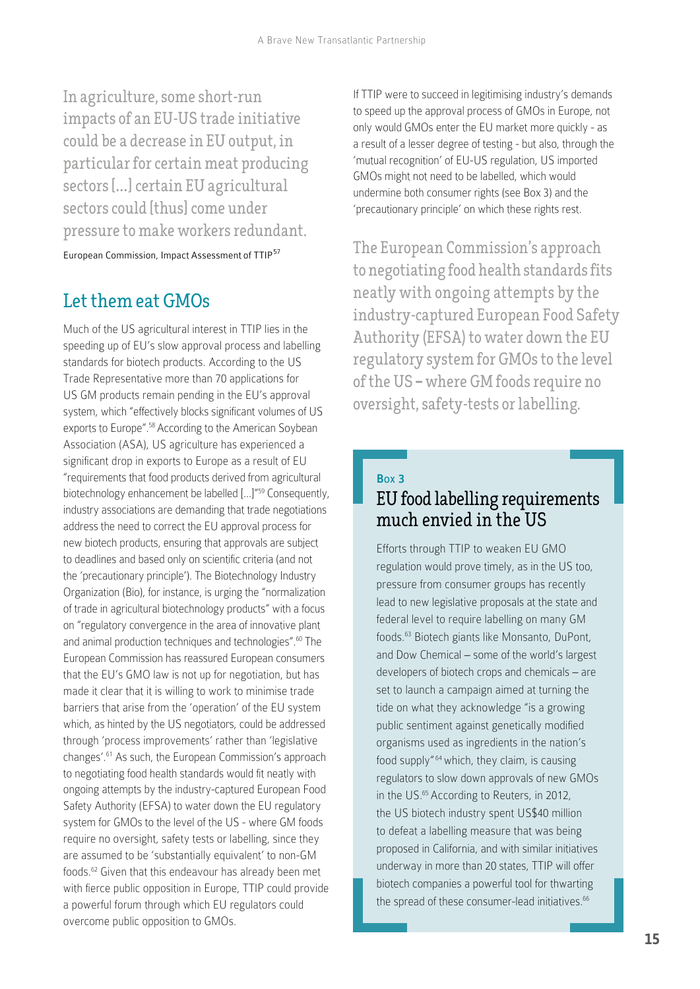In agriculture, some short-run impacts of an EU-US trade initiative could be a decrease in EU output, in particular for certain meat producing sectors [**…**] certain EU agricultural sectors could [thus] come under pressure to make workers redundant.

European Commission, Impact Assessment of TTIP<sup>57</sup>

### Let them eat GMOs

Much of the US agricultural interest in TTIP lies in the speeding up of EU's slow approval process and labelling standards for biotech products. According to the US Trade Representative more than 70 applications for US GM products remain pending in the EU's approval system, which "effectively blocks significant volumes of US exports to Europe".<sup>58</sup> According to the American Soybean Association (ASA), US agriculture has experienced a significant drop in exports to Europe as a result of EU "requirements that food products derived from agricultural biotechnology enhancement be labelled [...]"59 Consequently, industry associations are demanding that trade negotiations address the need to correct the EU approval process for new biotech products, ensuring that approvals are subject to deadlines and based only on scientific criteria (and not the 'precautionary principle'). The Biotechnology Industry Organization (Bio), for instance, is urging the "normalization of trade in agricultural biotechnology products" with a focus on "regulatory convergence in the area of innovative plant and animal production techniques and technologies".<sup>60</sup> The European Commission has reassured European consumers that the EU's GMO law is not up for negotiation, but has made it clear that it is willing to work to minimise trade barriers that arise from the 'operation' of the EU system which, as hinted by the US negotiators, could be addressed through 'process improvements' rather than 'legislative changes'.61 As such, the European Commission's approach to negotiating food health standards would fit neatly with ongoing attempts by the industry-captured European Food Safety Authority (EFSA) to water down the EU regulatory system for GMOs to the level of the US - where GM foods require no oversight, safety tests or labelling, since they are assumed to be 'substantially equivalent' to non-GM foods.62 Given that this endeavour has already been met with fierce public opposition in Europe, TTIP could provide a powerful forum through which EU regulators could overcome public opposition to GMOs.

If TTIP were to succeed in legitimising industry's demands to speed up the approval process of GMOs in Europe, not only would GMOs enter the EU market more quickly - as a result of a lesser degree of testing - but also, through the 'mutual recognition' of EU-US regulation, US imported GMOs might not need to be labelled, which would undermine both consumer rights (see Box 3) and the 'precautionary principle' on which these rights rest.

The European Commission's approach to negotiating food health standards fits neatly with ongoing attempts by the industry-captured European Food Safety Authority (EFSA) to water down the EU regulatory system for GMOs to the level of the US **–** where GM foods require no oversight, safety-tests or labelling.

#### Box 3 EU food labelling requirements much envied in the US

Efforts through TTIP to weaken EU GMO regulation would prove timely, as in the US too, pressure from consumer groups has recently lead to new legislative proposals at the state and federal level to require labelling on many GM foods.63 Biotech giants like Monsanto, DuPont, and Dow Chemical – some of the world's largest developers of biotech crops and chemicals – are set to launch a campaign aimed at turning the tide on what they acknowledge "is a growing public sentiment against genetically modified organisms used as ingredients in the nation's food supply"<sup>64</sup> which, they claim, is causing regulators to slow down approvals of new GMOs in the US.<sup>65</sup> According to Reuters, in 2012, the US biotech industry spent US\$40 million to defeat a labelling measure that was being proposed in California, and with similar initiatives underway in more than 20 states, TTIP will offer biotech companies a powerful tool for thwarting the spread of these consumer-lead initiatives.<sup>66</sup>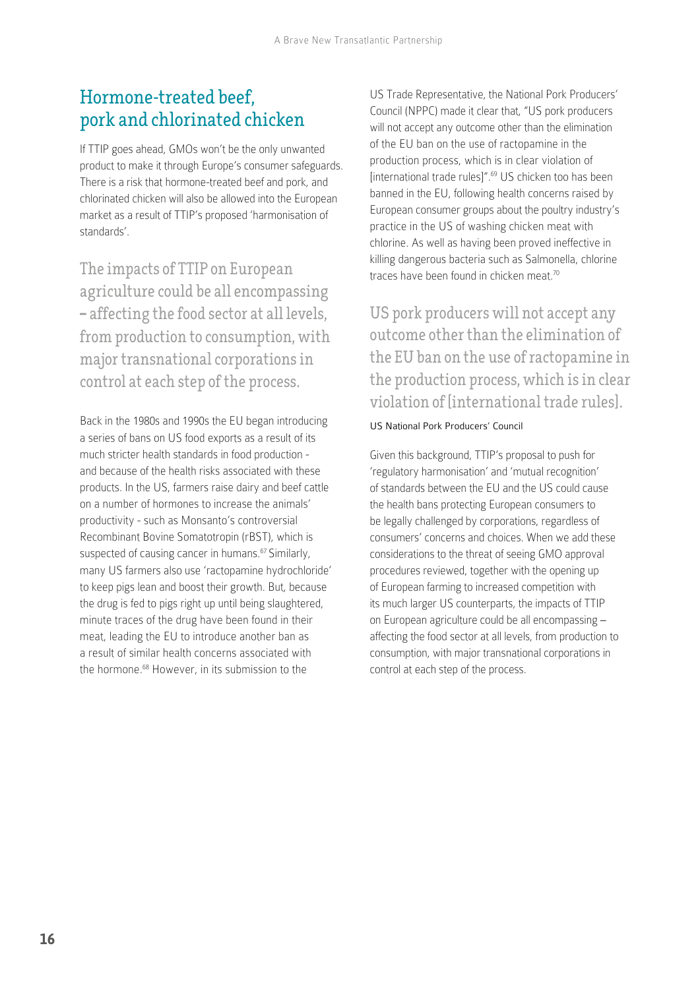#### Hormone-treated beef, pork and chlorinated chicken

If TTIP goes ahead, GMOs won't be the only unwanted product to make it through Europe's consumer safeguards. There is a risk that hormone-treated beef and pork, and chlorinated chicken will also be allowed into the European market as a result of TTIP's proposed 'harmonisation of standards'.

The impacts of TTIP on European agriculture could be all encompassing **–** affecting the food sector at all levels, from production to consumption, with major transnational corporations in control at each step of the process.

Back in the 1980s and 1990s the EU began introducing a series of bans on US food exports as a result of its much stricter health standards in food production and because of the health risks associated with these products. In the US, farmers raise dairy and beef cattle on a number of hormones to increase the animals' productivity - such as Monsanto's controversial Recombinant Bovine Somatotropin (rBST), which is suspected of causing cancer in humans.<sup>67</sup> Similarly, many US farmers also use 'ractopamine hydrochloride' to keep pigs lean and boost their growth. But, because the drug is fed to pigs right up until being slaughtered, minute traces of the drug have been found in their meat, leading the EU to introduce another ban as a result of similar health concerns associated with the hormone.<sup>68</sup> However, in its submission to the

US Trade Representative, the National Pork Producers' Council (NPPC) made it clear that, "US pork producers will not accept any outcome other than the elimination of the EU ban on the use of ractopamine in the production process, which is in clear violation of [international trade rules]".69 US chicken too has been banned in the EU, following health concerns raised by European consumer groups about the poultry industry's practice in the US of washing chicken meat with chlorine. As well as having been proved ineffective in killing dangerous bacteria such as Salmonella, chlorine traces have been found in chicken meat.<sup>70</sup>

US pork producers will not accept any outcome other than the elimination of the EU ban on the use of ractopamine in the production process, which is in clear violation of [international trade rules].

#### US National Pork Producers' Council

Given this background, TTIP's proposal to push for 'regulatory harmonisation' and 'mutual recognition' of standards between the EU and the US could cause the health bans protecting European consumers to be legally challenged by corporations, regardless of consumers' concerns and choices. When we add these considerations to the threat of seeing GMO approval procedures reviewed, together with the opening up of European farming to increased competition with its much larger US counterparts, the impacts of TTIP on European agriculture could be all encompassing – affecting the food sector at all levels, from production to consumption, with major transnational corporations in control at each step of the process.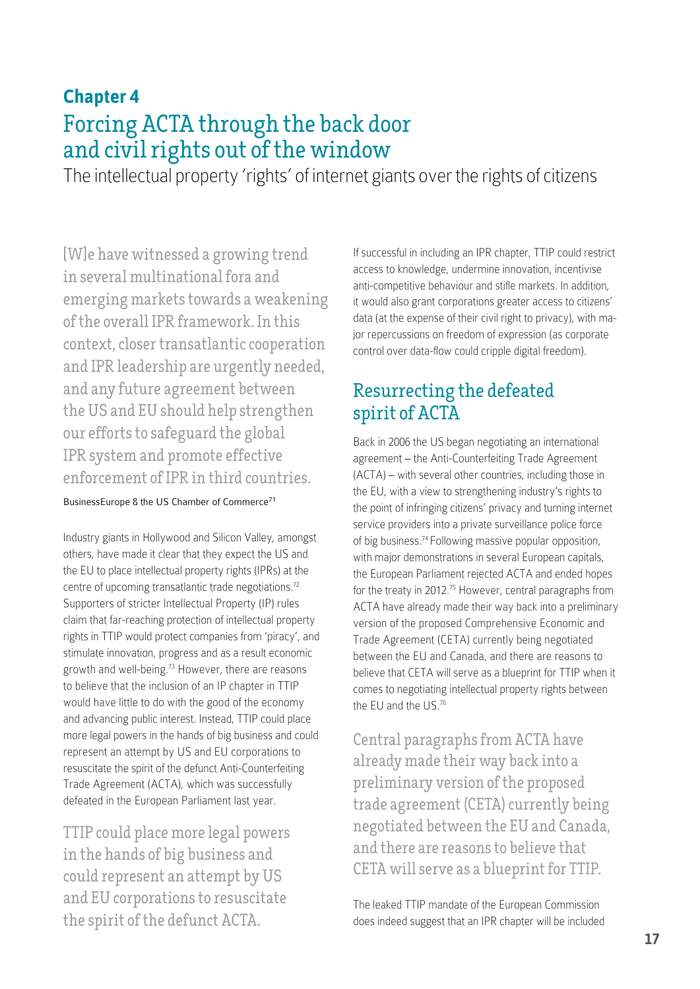# **Chapter 4** Forcing ACTA through the back door and civil rights out of the window

The intellectual property 'rights' of internet giants over the rights of citizens

[W]e have witnessed a growing trend in several multinational fora and emerging markets towards a weakening of the overall IPR framework. In this context, closer transatlantic cooperation and IPR leadership are urgently needed, and any future agreement between the US and EU should help strengthen our efforts to safeguard the global IPR system and promote effective enforcement of IPR in third countries.

BusinessEurope & the US Chamber of Commerce<sup>71</sup>

Industry giants in Hollywood and Silicon Valley, amongst others, have made it clear that they expect the US and the EU to place intellectual property rights (IPRs) at the centre of upcoming transatlantic trade negotiations.<sup>72</sup> Supporters of stricter Intellectual Property (IP) rules claim that far-reaching protection of intellectual property rights in TTIP would protect companies from 'piracy', and stimulate innovation, progress and as a result economic growth and well-being.<sup>73</sup> However, there are reasons to believe that the inclusion of an IP chapter in TTIP would have little to do with the good of the economy and advancing public interest. Instead, TTIP could place more legal powers in the hands of big business and could represent an attempt by US and EU corporations to resuscitate the spirit of the defunct Anti-Counterfeiting Trade Agreement (ACTA), which was successfully defeated in the European Parliament last year.

TTIP could place more legal powers in the hands of big business and could represent an attempt by US and EU corporations to resuscitate the spirit of the defunct ACTA.

If successful in including an IPR chapter, TTIP could restrict access to knowledge, undermine innovation, incentivise anti-competitive behaviour and stifle markets. In addition, it would also grant corporations greater access to citizens' data (at the expense of their civil right to privacy), with major repercussions on freedom of expression (as corporate control over data-flow could cripple digital freedom).

### Resurrecting the defeated spirit of ACTA

Back in 2006 the US began negotiating an international agreement – the Anti-Counterfeiting Trade Agreement (ACTA) – with several other countries, including those in the EU, with a view to strengthening industry's rights to the point of infringing citizens' privacy and turning internet service providers into a private surveillance police force of big business.<sup>74</sup> Following massive popular opposition, with major demonstrations in several European capitals, the European Parliament rejected ACTA and ended hopes for the treaty in 2012.75 However, central paragraphs from ACTA have already made their way back into a preliminary version of the proposed Comprehensive Economic and Trade Agreement (CETA) currently being negotiated between the EU and Canada, and there are reasons to believe that CETA will serve as a blueprint for TTIP when it comes to negotiating intellectual property rights between the EU and the US.76

Central paragraphs from ACTA have already made their way back into a preliminary version of the proposed trade agreement (CETA) currently being negotiated between the EU and Canada, and there are reasons to believe that CETA will serve as a blueprint for TTIP.

The leaked TTIP mandate of the European Commission does indeed suggest that an IPR chapter will be included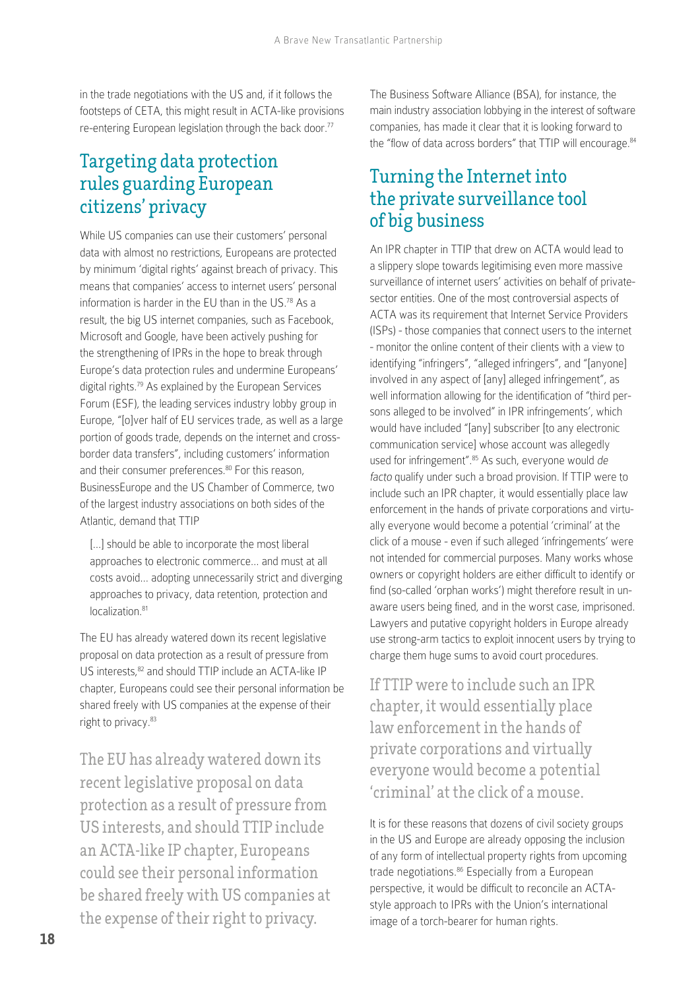in the trade negotiations with the US and, if it follows the footsteps of CETA, this might result in ACTA-like provisions re-entering European legislation through the back door.<sup>77</sup>

#### Targeting data protection rules guarding European citizens' privacy

While US companies can use their customers' personal data with almost no restrictions, Europeans are protected by minimum 'digital rights' against breach of privacy. This means that companies' access to internet users' personal information is harder in the EU than in the US.78 As a result, the big US internet companies, such as Facebook, Microsoft and Google, have been actively pushing for the strengthening of IPRs in the hope to break through Europe's data protection rules and undermine Europeans' digital rights.79 As explained by the European Services Forum (ESF), the leading services industry lobby group in Europe, "[o]ver half of EU services trade, as well as a large portion of goods trade, depends on the internet and crossborder data transfers", including customers' information and their consumer preferences.<sup>80</sup> For this reason, BusinessEurope and the US Chamber of Commerce, two of the largest industry associations on both sides of the Atlantic, demand that TTIP

[...] should be able to incorporate the most liberal approaches to electronic commerce… and must at all costs avoid… adopting unnecessarily strict and diverging approaches to privacy, data retention, protection and localization.<sup>81</sup>

The EU has already watered down its recent legislative proposal on data protection as a result of pressure from US interests, 82 and should TTIP include an ACTA-like IP chapter, Europeans could see their personal information be shared freely with US companies at the expense of their right to privacy.83

The EU has already watered down its recent legislative proposal on data protection as a result of pressure from US interests, and should TTIP include an ACTA-like IP chapter, Europeans could see their personal information be shared freely with US companies at the expense of their right to privacy.

The Business Software Alliance (BSA), for instance, the main industry association lobbying in the interest of software companies, has made it clear that it is looking forward to the "flow of data across borders" that TTIP will encourage.<sup>84</sup>

#### Turning the Internet into the private surveillance tool of big business

An IPR chapter in TTIP that drew on ACTA would lead to a slippery slope towards legitimising even more massive surveillance of internet users' activities on behalf of privatesector entities. One of the most controversial aspects of ACTA was its requirement that Internet Service Providers (ISPs) - those companies that connect users to the internet - monitor the online content of their clients with a view to identifying "infringers", "alleged infringers", and "[anyone] involved in any aspect of [any] alleged infringement", as well information allowing for the identification of "third persons alleged to be involved" in IPR infringements', which would have included "[any] subscriber [to any electronic communication service] whose account was allegedly used for infringement".<sup>85</sup> As such, everyone would de facto qualify under such a broad provision. If TTIP were to include such an IPR chapter, it would essentially place law enforcement in the hands of private corporations and virtually everyone would become a potential 'criminal' at the click of a mouse - even if such alleged 'infringements' were not intended for commercial purposes. Many works whose owners or copyright holders are either difficult to identify or find (so-called 'orphan works') might therefore result in unaware users being fined, and in the worst case, imprisoned. Lawyers and putative copyright holders in Europe already use strong-arm tactics to exploit innocent users by trying to charge them huge sums to avoid court procedures.

If TTIP were to include such an IPR chapter, it would essentially place law enforcement in the hands of private corporations and virtually everyone would become a potential 'criminal' at the click of a mouse.

It is for these reasons that dozens of civil society groups in the US and Europe are already opposing the inclusion of any form of intellectual property rights from upcoming trade negotiations.<sup>86</sup> Especially from a European perspective, it would be difficult to reconcile an ACTAstyle approach to IPRs with the Union's international image of a torch-bearer for human rights.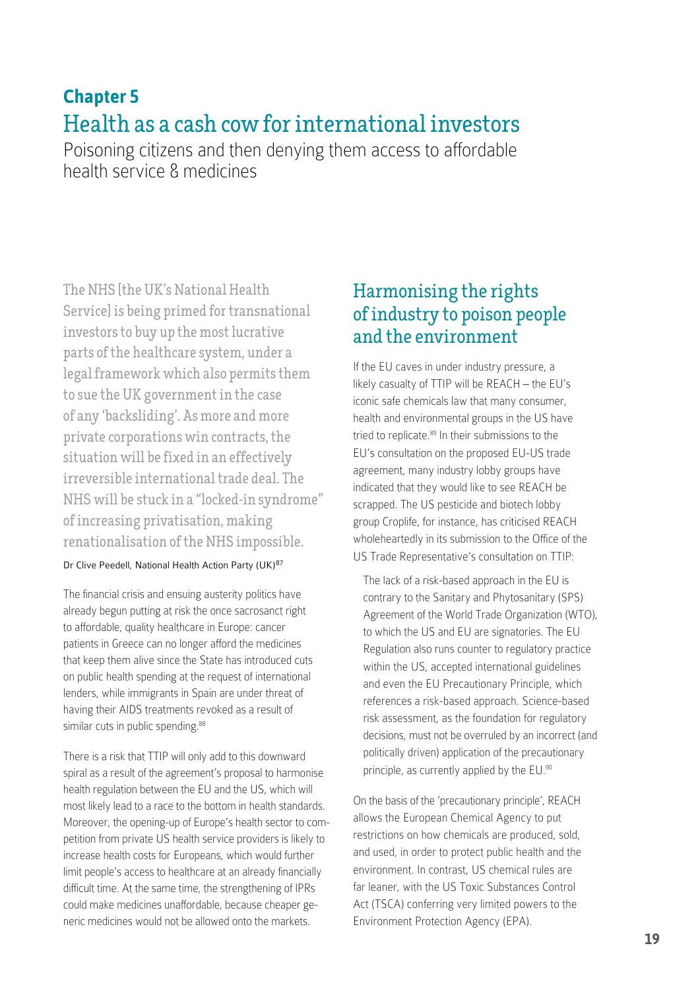# **Chapter 5** Health as a cash cow for international investors

Poisoning citizens and then denying them access to affordable health service & medicines

The NHS [the UK's National Health Service] is being primed for transnational investors to buy up the most lucrative parts of the healthcare system, under a legal framework which also permits them to sue the UK government in the case of any 'backsliding'. As more and more private corporations win contracts, the situation will be fixed in an effectively irreversible international trade deal. The NHS will be stuck in a "locked-in syndrome" of increasing privatisation, making renationalisation of the NHS impossible.

#### Dr Clive Peedell, National Health Action Party (UK)<sup>87</sup>

The financial crisis and ensuing austerity politics have already begun putting at risk the once sacrosanct right to affordable, quality healthcare in Europe: cancer patients in Greece can no longer afford the medicines that keep them alive since the State has introduced cuts on public health spending at the request of international lenders, while immigrants in Spain are under threat of having their AIDS treatments revoked as a result of similar cuts in public spending.<sup>88</sup>

There is a risk that TTIP will only add to this downward spiral as a result of the agreement's proposal to harmonise health regulation between the EU and the US, which will most likely lead to a race to the bottom in health standards. Moreover, the opening-up of Europe's health sector to competition from private US health service providers is likely to increase health costs for Europeans, which would further limit people's access to healthcare at an already financially difficult time. At the same time, the strengthening of IPRs could make medicines unaffordable, because cheaper generic medicines would not be allowed onto the markets.

#### Harmonising the rights of industry to poison people and the environment

If the EU caves in under industry pressure, a likely casualty of TTIP will be REACH – the EU's iconic safe chemicals law that many consumer, health and environmental groups in the US have tried to replicate.<sup>89</sup> In their submissions to the EU's consultation on the proposed EU-US trade agreement, many industry lobby groups have indicated that they would like to see REACH be scrapped. The US pesticide and biotech lobby group Croplife, for instance, has criticised REACH wholeheartedly in its submission to the Office of the US Trade Representative's consultation on TTIP:

The lack of a risk-based approach in the EU is contrary to the Sanitary and Phytosanitary (SPS) Agreement of the World Trade Organization (WTO), to which the US and EU are signatories. The EU Regulation also runs counter to regulatory practice within the US, accepted international guidelines and even the EU Precautionary Principle, which references a risk-based approach. Science-based risk assessment, as the foundation for regulatory decisions, must not be overruled by an incorrect (and politically driven) application of the precautionary principle, as currently applied by the EU.90

On the basis of the 'precautionary principle', REACH allows the European Chemical Agency to put restrictions on how chemicals are produced, sold, and used, in order to protect public health and the environment. In contrast, US chemical rules are far leaner, with the US Toxic Substances Control Act (TSCA) conferring very limited powers to the Environment Protection Agency (EPA).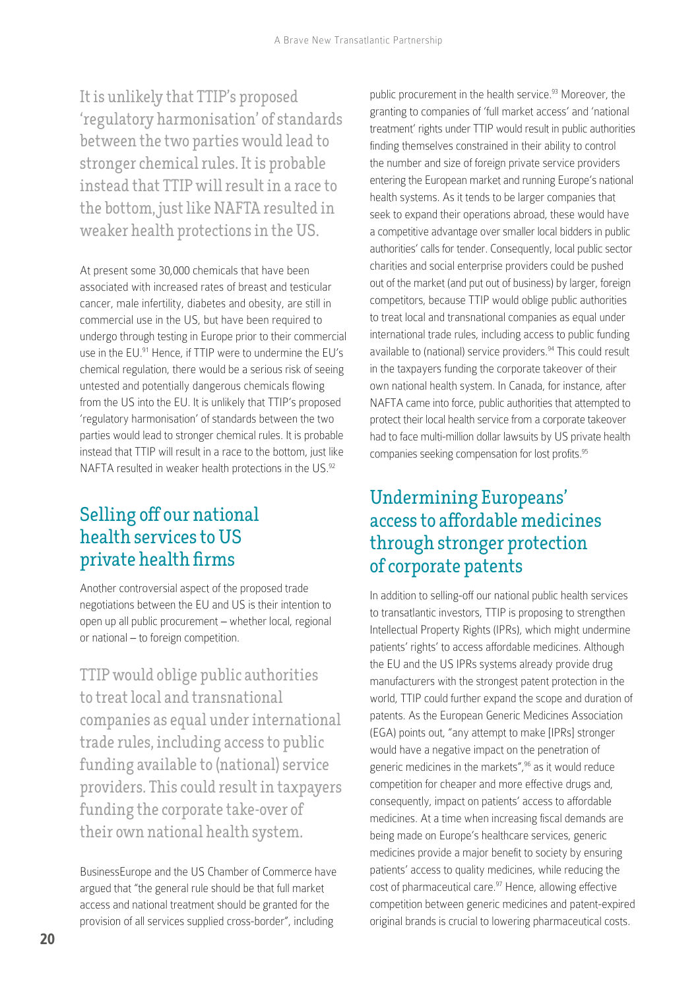It is unlikely that TTIP's proposed 'regulatory harmonisation' of standards between the two parties would lead to stronger chemical rules. It is probable instead that TTIP will result in a race to the bottom, just like NAFTA resulted in weaker health protections in the US.

At present some 30,000 chemicals that have been associated with increased rates of breast and testicular cancer, male infertility, diabetes and obesity, are still in commercial use in the US, but have been required to undergo through testing in Europe prior to their commercial use in the EU.<sup>91</sup> Hence, if TTIP were to undermine the EU's chemical regulation, there would be a serious risk of seeing untested and potentially dangerous chemicals flowing from the US into the EU. It is unlikely that TTIP's proposed 'regulatory harmonisation' of standards between the two parties would lead to stronger chemical rules. It is probable instead that TTIP will result in a race to the bottom, just like NAFTA resulted in weaker health protections in the US.<sup>92</sup>

### Selling off our national health services to US private health firms

Another controversial aspect of the proposed trade negotiations between the EU and US is their intention to open up all public procurement – whether local, regional or national – to foreign competition.

TTIP would oblige public authorities to treat local and transnational companies as equal under international trade rules, including access to public funding available to (national) service providers. This could result in taxpayers funding the corporate take-over of their own national health system.

BusinessEurope and the US Chamber of Commerce have argued that "the general rule should be that full market access and national treatment should be granted for the provision of all services supplied cross-border", including

public procurement in the health service.<sup>93</sup> Moreover, the granting to companies of 'full market access' and 'national treatment' rights under TTIP would result in public authorities finding themselves constrained in their ability to control the number and size of foreign private service providers entering the European market and running Europe's national health systems. As it tends to be larger companies that seek to expand their operations abroad, these would have a competitive advantage over smaller local bidders in public authorities' calls for tender. Consequently, local public sector charities and social enterprise providers could be pushed out of the market (and put out of business) by larger, foreign competitors, because TTIP would oblige public authorities to treat local and transnational companies as equal under international trade rules, including access to public funding available to (national) service providers.<sup>94</sup> This could result in the taxpayers funding the corporate takeover of their own national health system. In Canada, for instance, after NAFTA came into force, public authorities that attempted to protect their local health service from a corporate takeover had to face multi-million dollar lawsuits by US private health companies seeking compensation for lost profits.<sup>95</sup>

#### Undermining Europeans' access to affordable medicines through stronger protection of corporate patents

In addition to selling-off our national public health services to transatlantic investors, TTIP is proposing to strengthen Intellectual Property Rights (IPRs), which might undermine patients' rights' to access affordable medicines. Although the EU and the US IPRs systems already provide drug manufacturers with the strongest patent protection in the world, TTIP could further expand the scope and duration of patents. As the European Generic Medicines Association (EGA) points out, "any attempt to make [IPRs] stronger would have a negative impact on the penetration of generic medicines in the markets",96 as it would reduce competition for cheaper and more effective drugs and, consequently, impact on patients' access to affordable medicines. At a time when increasing fiscal demands are being made on Europe's healthcare services, generic medicines provide a major benefit to society by ensuring patients' access to quality medicines, while reducing the cost of pharmaceutical care.<sup>97</sup> Hence, allowing effective competition between generic medicines and patent-expired original brands is crucial to lowering pharmaceutical costs.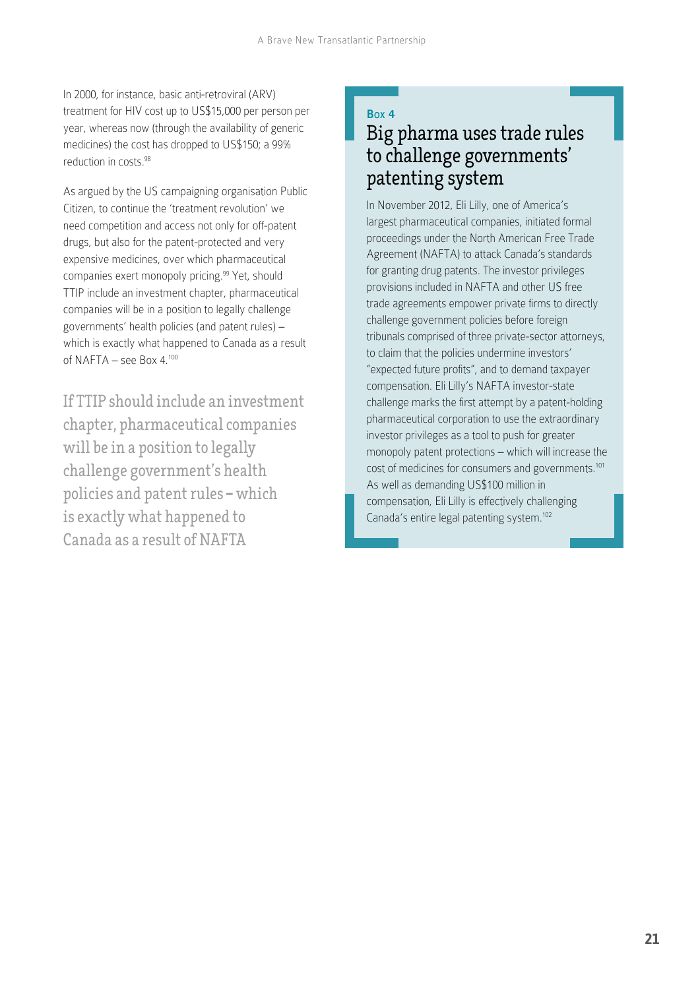In 2000, for instance, basic anti-retroviral (ARV) treatment for HIV cost up to US\$15,000 per person per year, whereas now (through the availability of generic medicines) the cost has dropped to US\$150; a 99% reduction in costs.98

As argued by the US campaigning organisation Public Citizen, to continue the 'treatment revolution' we need competition and access not only for off-patent drugs, but also for the patent-protected and very expensive medicines, over which pharmaceutical companies exert monopoly pricing.<sup>99</sup> Yet, should TTIP include an investment chapter, pharmaceutical companies will be in a position to legally challenge governments' health policies (and patent rules) – which is exactly what happened to Canada as a result of NAFTA – see Box 4.<sup>100</sup>

If TTIP should include an investment chapter, pharmaceutical companies will be in a position to legally challenge government's health policies and patent rules **–** which is exactly what happened to Canada as a result of NAFTA

#### Box 4

#### Big pharma uses trade rules to challenge governments' patenting system

In November 2012, Eli Lilly, one of America's largest pharmaceutical companies, initiated formal proceedings under the North American Free Trade Agreement (NAFTA) to attack Canada's standards for granting drug patents. The investor privileges provisions included in NAFTA and other US free trade agreements empower private firms to directly challenge government policies before foreign tribunals comprised of three private-sector attorneys, to claim that the policies undermine investors' "expected future profits", and to demand taxpayer compensation. Eli Lilly's NAFTA investor-state challenge marks the first attempt by a patent-holding pharmaceutical corporation to use the extraordinary investor privileges as a tool to push for greater monopoly patent protections – which will increase the cost of medicines for consumers and governments.101 As well as demanding US\$100 million in compensation, Eli Lilly is effectively challenging Canada's entire legal patenting system.<sup>102</sup>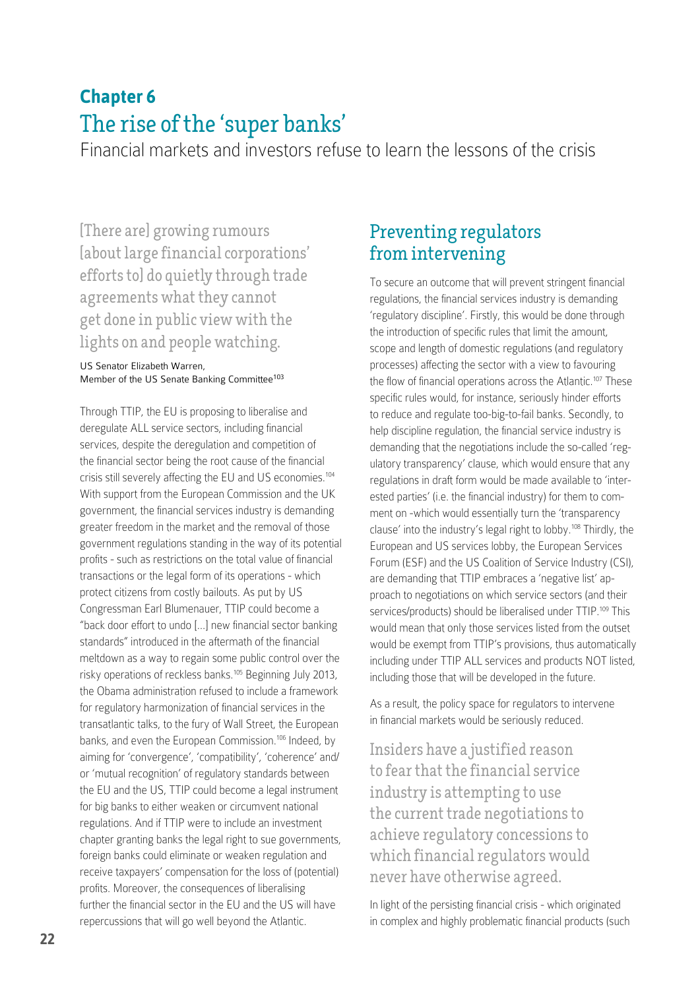# **Chapter 6** The rise of the 'super banks'

Financial markets and investors refuse to learn the lessons of the crisis

[There are] growing rumours [about large financial corporations' efforts to] do quietly through trade agreements what they cannot get done in public view with the lights on and people watching.

US Senator Elizabeth Warren, Member of the US Senate Banking Committee<sup>103</sup>

Through TTIP, the EU is proposing to liberalise and deregulate ALL service sectors, including financial services, despite the deregulation and competition of the financial sector being the root cause of the financial crisis still severely affecting the EU and US economies.104 With support from the European Commission and the UK government, the financial services industry is demanding greater freedom in the market and the removal of those government regulations standing in the way of its potential profits - such as restrictions on the total value of financial transactions or the legal form of its operations - which protect citizens from costly bailouts. As put by US Congressman Earl Blumenauer, TTIP could become a "back door effort to undo […] new financial sector banking standards" introduced in the aftermath of the financial meltdown as a way to regain some public control over the risky operations of reckless banks.105 Beginning July 2013, the Obama administration refused to include a framework for regulatory harmonization of financial services in the transatlantic talks, to the fury of Wall Street, the European banks, and even the European Commission.<sup>106</sup> Indeed, by aiming for 'convergence', 'compatibility', 'coherence' and/ or 'mutual recognition' of regulatory standards between the EU and the US, TTIP could become a legal instrument for big banks to either weaken or circumvent national regulations. And if TTIP were to include an investment chapter granting banks the legal right to sue governments, foreign banks could eliminate or weaken regulation and receive taxpayers' compensation for the loss of (potential) profits. Moreover, the consequences of liberalising further the financial sector in the EU and the US will have repercussions that will go well beyond the Atlantic.

#### Preventing regulators from intervening

To secure an outcome that will prevent stringent financial regulations, the financial services industry is demanding 'regulatory discipline'. Firstly, this would be done through the introduction of specific rules that limit the amount, scope and length of domestic regulations (and regulatory processes) affecting the sector with a view to favouring the flow of financial operations across the Atlantic.<sup>107</sup> These specific rules would, for instance, seriously hinder efforts to reduce and regulate too-big-to-fail banks. Secondly, to help discipline regulation, the financial service industry is demanding that the negotiations include the so-called 'regulatory transparency' clause, which would ensure that any regulations in draft form would be made available to 'interested parties' (i.e. the financial industry) for them to comment on -which would essentially turn the 'transparency clause' into the industry's legal right to lobby.108 Thirdly, the European and US services lobby, the European Services Forum (ESF) and the US Coalition of Service Industry (CSI), are demanding that TTIP embraces a 'negative list' approach to negotiations on which service sectors (and their services/products) should be liberalised under TTIP.<sup>109</sup> This would mean that only those services listed from the outset would be exempt from TTIP's provisions, thus automatically including under TTIP ALL services and products NOT listed, including those that will be developed in the future.

As a result, the policy space for regulators to intervene in financial markets would be seriously reduced.

Insiders have a justified reason to fear that the financial service industry is attempting to use the current trade negotiations to achieve regulatory concessions to which financial regulators would never have otherwise agreed.

In light of the persisting financial crisis - which originated in complex and highly problematic financial products (such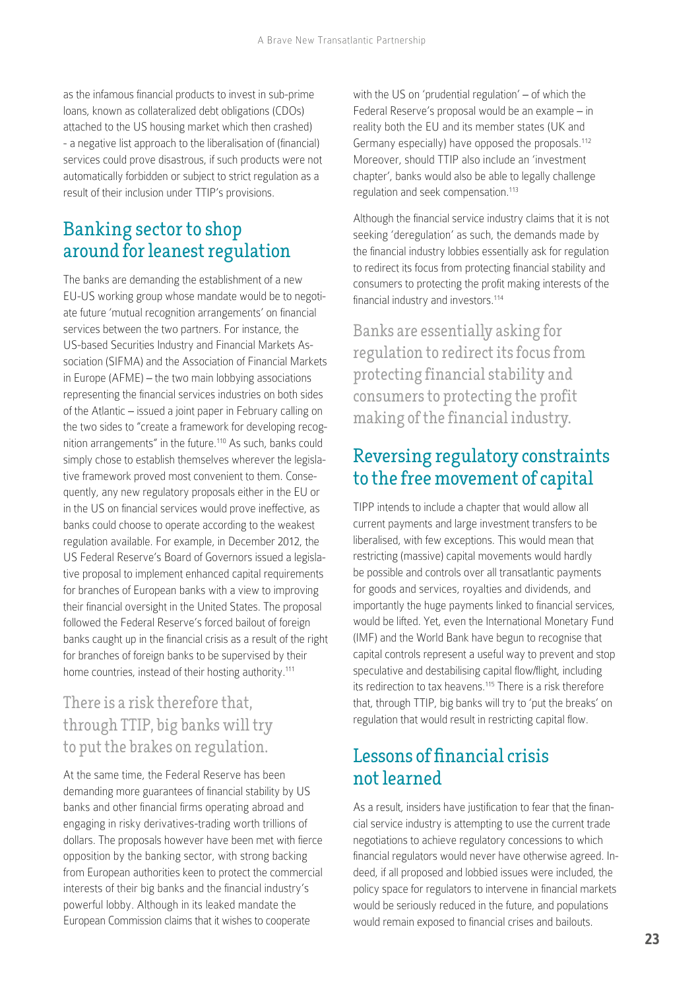as the infamous financial products to invest in sub-prime loans, known as collateralized debt obligations (CDOs) attached to the US housing market which then crashed) - a negative list approach to the liberalisation of (financial) services could prove disastrous, if such products were not automatically forbidden or subject to strict regulation as a result of their inclusion under TTIP's provisions.

### Banking sector to shop around for leanest regulation

The banks are demanding the establishment of a new EU-US working group whose mandate would be to negotiate future 'mutual recognition arrangements' on financial services between the two partners. For instance, the US-based Securities Industry and Financial Markets Association (SIFMA) and the Association of Financial Markets in Europe (AFME) – the two main lobbying associations representing the financial services industries on both sides of the Atlantic – issued a joint paper in February calling on the two sides to "create a framework for developing recognition arrangements" in the future.110 As such, banks could simply chose to establish themselves wherever the legislative framework proved most convenient to them. Consequently, any new regulatory proposals either in the EU or in the US on financial services would prove ineffective, as banks could choose to operate according to the weakest regulation available. For example, in December 2012, the US Federal Reserve's Board of Governors issued a legislative proposal to implement enhanced capital requirements for branches of European banks with a view to improving their financial oversight in the United States. The proposal followed the Federal Reserve's forced bailout of foreign banks caught up in the financial crisis as a result of the right for branches of foreign banks to be supervised by their home countries, instead of their hosting authority.<sup>111</sup>

#### There is a risk therefore that, through TTIP, big banks will try to put the brakes on regulation.

At the same time, the Federal Reserve has been demanding more guarantees of financial stability by US banks and other financial firms operating abroad and engaging in risky derivatives-trading worth trillions of dollars. The proposals however have been met with fierce opposition by the banking sector, with strong backing from European authorities keen to protect the commercial interests of their big banks and the financial industry's powerful lobby. Although in its leaked mandate the European Commission claims that it wishes to cooperate

with the US on 'prudential regulation' – of which the Federal Reserve's proposal would be an example – in reality both the EU and its member states (UK and Germany especially) have opposed the proposals.<sup>112</sup> Moreover, should TTIP also include an 'investment chapter', banks would also be able to legally challenge regulation and seek compensation.<sup>113</sup>

Although the financial service industry claims that it is not seeking 'deregulation' as such, the demands made by the financial industry lobbies essentially ask for regulation to redirect its focus from protecting financial stability and consumers to protecting the profit making interests of the financial industry and investors.<sup>114</sup>

Banks are essentially asking for regulation to redirect its focus from protecting financial stability and consumers to protecting the profit making of the financial industry.

#### Reversing regulatory constraints to the free movement of capital

TIPP intends to include a chapter that would allow all current payments and large investment transfers to be liberalised, with few exceptions. This would mean that restricting (massive) capital movements would hardly be possible and controls over all transatlantic payments for goods and services, royalties and dividends, and importantly the huge payments linked to financial services, would be lifted. Yet, even the International Monetary Fund (IMF) and the World Bank have begun to recognise that capital controls represent a useful way to prevent and stop speculative and destabilising capital flow/flight, including its redirection to tax heavens.<sup>115</sup> There is a risk therefore that, through TTIP, big banks will try to 'put the breaks' on regulation that would result in restricting capital flow.

### Lessons of financial crisis not learned

As a result, insiders have justification to fear that the financial service industry is attempting to use the current trade negotiations to achieve regulatory concessions to which financial regulators would never have otherwise agreed. Indeed, if all proposed and lobbied issues were included, the policy space for regulators to intervene in financial markets would be seriously reduced in the future, and populations would remain exposed to financial crises and bailouts.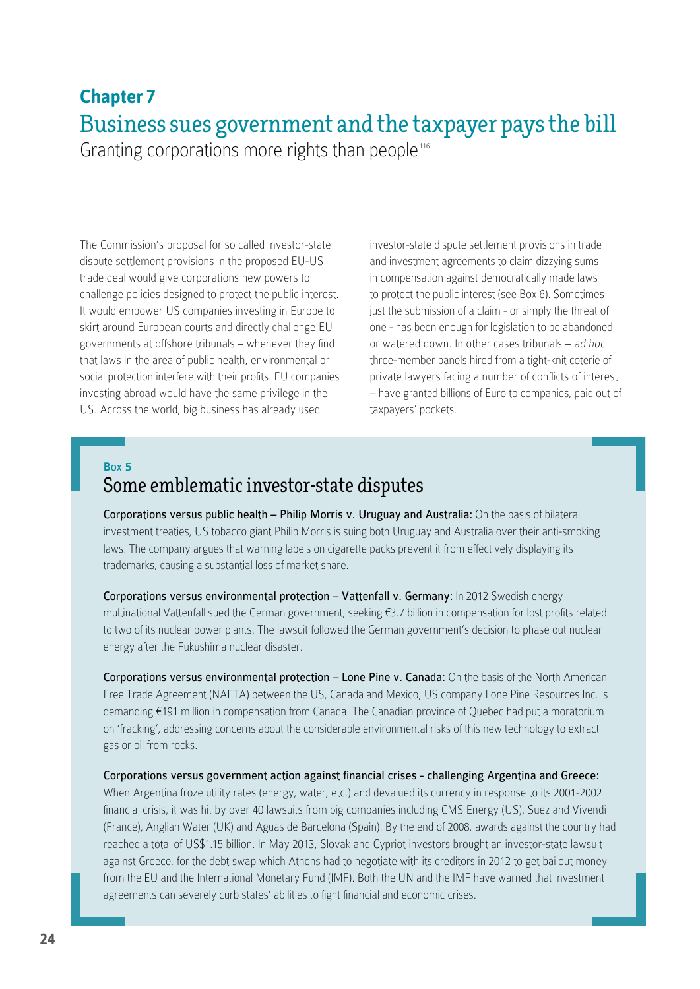### **Chapter 7** Business sues government and the taxpayer pays the bill Granting corporations more rights than people<sup>116</sup>

The Commission's proposal for so called investor-state dispute settlement provisions in the proposed EU-US trade deal would give corporations new powers to challenge policies designed to protect the public interest. It would empower US companies investing in Europe to skirt around European courts and directly challenge EU governments at offshore tribunals – whenever they find that laws in the area of public health, environmental or social protection interfere with their profits. EU companies investing abroad would have the same privilege in the US. Across the world, big business has already used

investor-state dispute settlement provisions in trade and investment agreements to claim dizzying sums in compensation against democratically made laws to protect the public interest (see Box 6). Sometimes just the submission of a claim - or simply the threat of one - has been enough for legislation to be abandoned or watered down. In other cases tribunals – ad hoc three-member panels hired from a tight-knit coterie of private lawyers facing a number of conflicts of interest – have granted billions of Euro to companies, paid out of taxpayers' pockets.

#### Box 5

### Some emblematic investor-state disputes

Corporations versus public health – Philip Morris v. Uruguay and Australia: On the basis of bilateral investment treaties, US tobacco giant Philip Morris is suing both Uruguay and Australia over their anti-smoking laws. The company argues that warning labels on cigarette packs prevent it from effectively displaying its trademarks, causing a substantial loss of market share.

Corporations versus environmental protection – Vattenfall v. Germany: In 2012 Swedish energy multinational Vattenfall sued the German government, seeking €3.7 billion in compensation for lost profits related to two of its nuclear power plants. The lawsuit followed the German government's decision to phase out nuclear energy after the Fukushima nuclear disaster.

Corporations versus environmental protection – Lone Pine v. Canada: On the basis of the North American Free Trade Agreement (NAFTA) between the US, Canada and Mexico, US company Lone Pine Resources Inc. is demanding €191 million in compensation from Canada. The Canadian province of Quebec had put a moratorium on 'fracking', addressing concerns about the considerable environmental risks of this new technology to extract gas or oil from rocks.

Corporations versus government action against financial crises - challenging Argentina and Greece: When Argentina froze utility rates (energy, water, etc.) and devalued its currency in response to its 2001-2002 financial crisis, it was hit by over 40 lawsuits from big companies including CMS Energy (US), Suez and Vivendi (France), Anglian Water (UK) and Aguas de Barcelona (Spain). By the end of 2008, awards against the country had reached a total of US\$1.15 billion. In May 2013, Slovak and Cypriot investors brought an investor-state lawsuit against Greece, for the debt swap which Athens had to negotiate with its creditors in 2012 to get bailout money from the EU and the International Monetary Fund (IMF). Both the UN and the IMF have warned that investment agreements can severely curb states' abilities to fight financial and economic crises.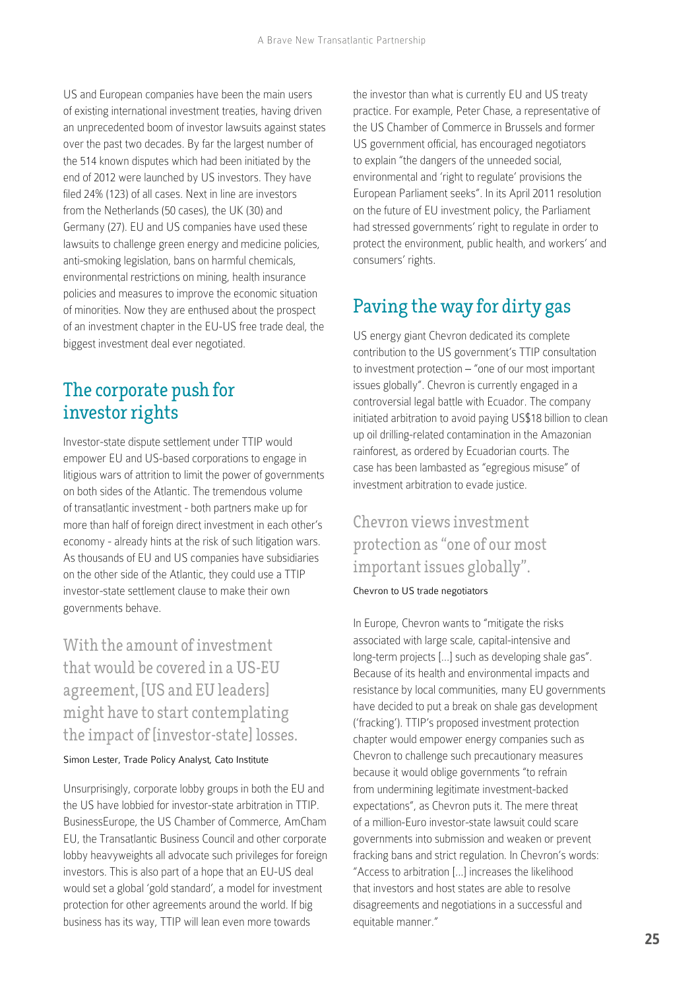US and European companies have been the main users of existing international investment treaties, having driven an unprecedented boom of investor lawsuits against states over the past two decades. By far the largest number of the 514 known disputes which had been initiated by the end of 2012 were launched by US investors. They have filed 24% (123) of all cases. Next in line are investors from the Netherlands (50 cases), the UK (30) and Germany (27). EU and US companies have used these lawsuits to challenge green energy and medicine policies, anti-smoking legislation, bans on harmful chemicals, environmental restrictions on mining, health insurance policies and measures to improve the economic situation of minorities. Now they are enthused about the prospect of an investment chapter in the EU-US free trade deal, the biggest investment deal ever negotiated.

### The corporate push for investor rights

Investor-state dispute settlement under TTIP would empower EU and US-based corporations to engage in litigious wars of attrition to limit the power of governments on both sides of the Atlantic. The tremendous volume of transatlantic investment - both partners make up for more than half of foreign direct investment in each other's economy - already hints at the risk of such litigation wars. As thousands of EU and US companies have subsidiaries on the other side of the Atlantic, they could use a TTIP investor-state settlement clause to make their own governments behave.

With the amount of investment that would be covered in a US-EU agreement, [US and EU leaders] might have to start contemplating the impact of [investor-state] losses.

Simon Lester, Trade Policy Analyst, Cato Institute

Unsurprisingly, corporate lobby groups in both the EU and the US have lobbied for investor-state arbitration in TTIP. BusinessEurope, the US Chamber of Commerce, AmCham EU, the Transatlantic Business Council and other corporate lobby heavyweights all advocate such privileges for foreign investors. This is also part of a hope that an EU-US deal would set a global 'gold standard', a model for investment protection for other agreements around the world. If big business has its way, TTIP will lean even more towards

the investor than what is currently EU and US treaty practice. For example, Peter Chase, a representative of the US Chamber of Commerce in Brussels and former US government official, has encouraged negotiators to explain "the dangers of the unneeded social, environmental and 'right to regulate' provisions the European Parliament seeks". In its April 2011 resolution on the future of EU investment policy, the Parliament had stressed governments' right to regulate in order to protect the environment, public health, and workers' and consumers' rights.

### Paving the way for dirty gas

US energy giant Chevron dedicated its complete contribution to the US government's TTIP consultation to investment protection – "one of our most important issues globally". Chevron is currently engaged in a controversial legal battle with Ecuador. The company initiated arbitration to avoid paying US\$18 billion to clean up oil drilling-related contamination in the Amazonian rainforest, as ordered by Ecuadorian courts. The case has been lambasted as "egregious misuse" of investment arbitration to evade justice.

#### Chevron views investment protection as "one of our most important issues globally".

Chevron to US trade negotiators

In Europe, Chevron wants to "mitigate the risks associated with large scale, capital-intensive and long-term projects […] such as developing shale gas". Because of its health and environmental impacts and resistance by local communities, many EU governments have decided to put a break on shale gas development ('fracking'). TTIP's proposed investment protection chapter would empower energy companies such as Chevron to challenge such precautionary measures because it would oblige governments "to refrain from undermining legitimate investment-backed expectations", as Chevron puts it. The mere threat of a million-Euro investor-state lawsuit could scare governments into submission and weaken or prevent fracking bans and strict regulation. In Chevron's words: "Access to arbitration [...] increases the likelihood that investors and host states are able to resolve disagreements and negotiations in a successful and equitable manner."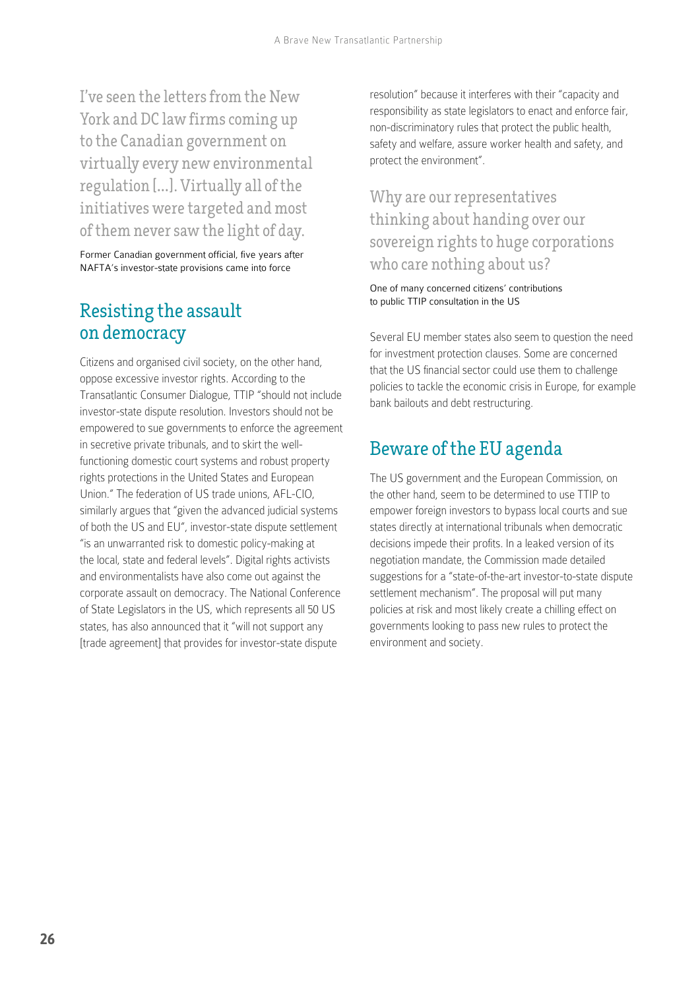I've seen the letters from the New York and DC law firms coming up to the Canadian government on virtually every new environmental regulation [**…**]. Virtually all of the initiatives were targeted and most of them never saw the light of day.

Former Canadian government official, five years after NAFTA's investor-state provisions came into force

#### Resisting the assault on democracy

Citizens and organised civil society, on the other hand, oppose excessive investor rights. According to the Transatlantic Consumer Dialogue, TTIP "should not include investor-state dispute resolution. Investors should not be empowered to sue governments to enforce the agreement in secretive private tribunals, and to skirt the wellfunctioning domestic court systems and robust property rights protections in the United States and European Union." The federation of US trade unions, AFL-CIO, similarly argues that "given the advanced judicial systems of both the US and EU", investor-state dispute settlement "is an unwarranted risk to domestic policy-making at the local, state and federal levels". Digital rights activists and environmentalists have also come out against the corporate assault on democracy. The National Conference of State Legislators in the US, which represents all 50 US states, has also announced that it "will not support any [trade agreement] that provides for investor-state dispute

resolution" because it interferes with their "capacity and responsibility as state legislators to enact and enforce fair, non-discriminatory rules that protect the public health, safety and welfare, assure worker health and safety, and protect the environment".

#### Why are our representatives thinking about handing over our sovereign rights to huge corporations who care nothing about us?

One of many concerned citizens' contributions to public TTIP consultation in the US

Several EU member states also seem to question the need for investment protection clauses. Some are concerned that the US financial sector could use them to challenge policies to tackle the economic crisis in Europe, for example bank bailouts and debt restructuring.

#### Beware of the EU agenda

The US government and the European Commission, on the other hand, seem to be determined to use TTIP to empower foreign investors to bypass local courts and sue states directly at international tribunals when democratic decisions impede their profits. In a leaked version of its negotiation mandate, the Commission made detailed suggestions for a "state-of-the-art investor-to-state dispute settlement mechanism". The proposal will put many policies at risk and most likely create a chilling effect on governments looking to pass new rules to protect the environment and society.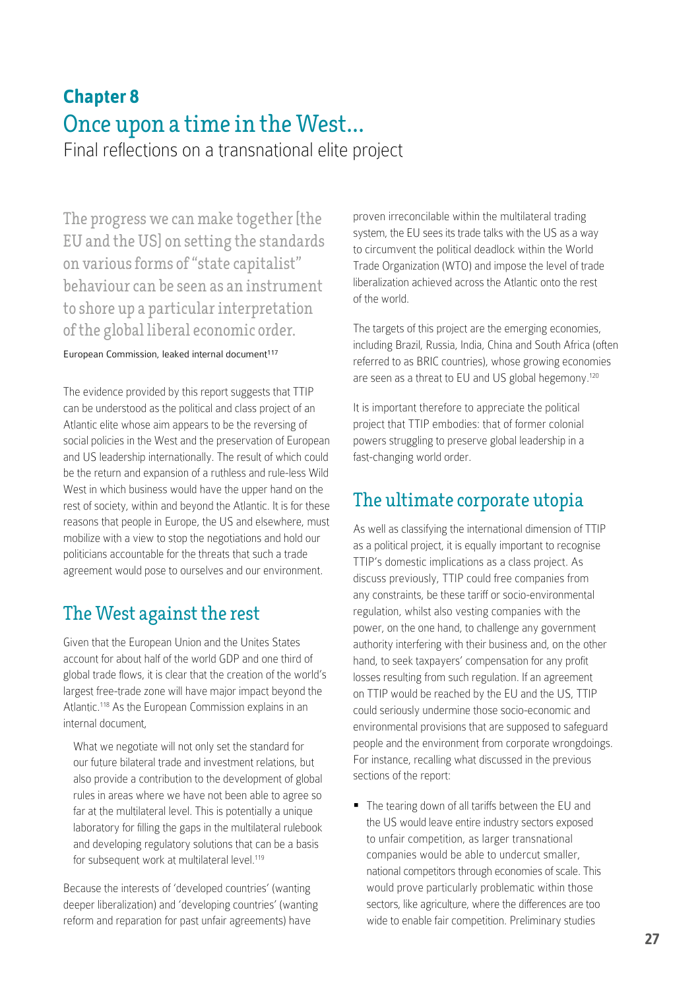# **Chapter 8** Once upon a time in the West**…**

Final reflections on a transnational elite project

The progress we can make together [the EU and the US] on setting the standards on various forms of "state capitalist" behaviour can be seen as an instrument to shore up a particular interpretation of the global liberal economic order.

#### European Commission, leaked internal document<sup>117</sup>

The evidence provided by this report suggests that TTIP can be understood as the political and class project of an Atlantic elite whose aim appears to be the reversing of social policies in the West and the preservation of European and US leadership internationally. The result of which could be the return and expansion of a ruthless and rule-less Wild West in which business would have the upper hand on the rest of society, within and beyond the Atlantic. It is for these reasons that people in Europe, the US and elsewhere, must mobilize with a view to stop the negotiations and hold our politicians accountable for the threats that such a trade agreement would pose to ourselves and our environment.

### The West against the rest

Given that the European Union and the Unites States account for about half of the world GDP and one third of global trade flows, it is clear that the creation of the world's largest free-trade zone will have major impact beyond the Atlantic.<sup>118</sup> As the European Commission explains in an internal document,

What we negotiate will not only set the standard for our future bilateral trade and investment relations, but also provide a contribution to the development of global rules in areas where we have not been able to agree so far at the multilateral level. This is potentially a unique laboratory for filling the gaps in the multilateral rulebook and developing regulatory solutions that can be a basis for subsequent work at multilateral level.<sup>119</sup>

Because the interests of 'developed countries' (wanting deeper liberalization) and 'developing countries' (wanting reform and reparation for past unfair agreements) have

proven irreconcilable within the multilateral trading system, the EU sees its trade talks with the US as a way to circumvent the political deadlock within the World Trade Organization (WTO) and impose the level of trade liberalization achieved across the Atlantic onto the rest of the world.

The targets of this project are the emerging economies, including Brazil, Russia, India, China and South Africa (often referred to as BRIC countries), whose growing economies are seen as a threat to EU and US global hegemony.<sup>120</sup>

It is important therefore to appreciate the political project that TTIP embodies: that of former colonial powers struggling to preserve global leadership in a fast-changing world order.

### The ultimate corporate utopia

As well as classifying the international dimension of TTIP as a political project, it is equally important to recognise TTIP's domestic implications as a class project. As discuss previously, TTIP could free companies from any constraints, be these tariff or socio-environmental regulation, whilst also vesting companies with the power, on the one hand, to challenge any government authority interfering with their business and, on the other hand, to seek taxpayers' compensation for any profit losses resulting from such regulation. If an agreement on TTIP would be reached by the EU and the US, TTIP could seriously undermine those socio-economic and environmental provisions that are supposed to safeguard people and the environment from corporate wrongdoings. For instance, recalling what discussed in the previous sections of the report:

The tearing down of all tariffs between the EU and the US would leave entire industry sectors exposed to unfair competition, as larger transnational companies would be able to undercut smaller, national competitors through economies of scale. This would prove particularly problematic within those sectors, like agriculture, where the differences are too wide to enable fair competition. Preliminary studies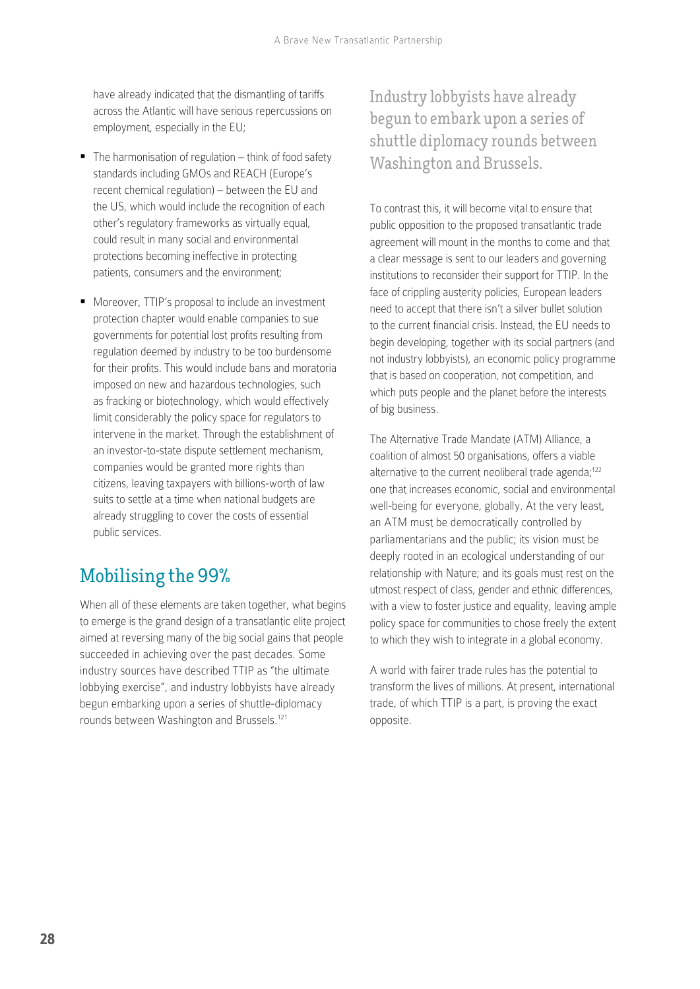have already indicated that the dismantling of tariffs across the Atlantic will have serious repercussions on employment, especially in the EU;

- $\blacksquare$  The harmonisation of regulation  $-$  think of food safety standards including GMOs and REACH (Europe's recent chemical regulation) – between the EU and the US, which would include the recognition of each other's regulatory frameworks as virtually equal, could result in many social and environmental protections becoming ineffective in protecting patients, consumers and the environment;
- **Moreover, TTIP's proposal to include an investment** protection chapter would enable companies to sue governments for potential lost profits resulting from regulation deemed by industry to be too burdensome for their profits. This would include bans and moratoria imposed on new and hazardous technologies, such as fracking or biotechnology, which would effectively limit considerably the policy space for regulators to intervene in the market. Through the establishment of an investor-to-state dispute settlement mechanism, companies would be granted more rights than citizens, leaving taxpayers with billions-worth of law suits to settle at a time when national budgets are already struggling to cover the costs of essential public services.

### Mobilising the 99%

When all of these elements are taken together, what begins to emerge is the grand design of a transatlantic elite project aimed at reversing many of the big social gains that people succeeded in achieving over the past decades. Some industry sources have described TTIP as "the ultimate lobbying exercise", and industry lobbyists have already begun embarking upon a series of shuttle-diplomacy rounds between Washington and Brussels.121

Industry lobbyists have already begun to embark upon a series of shuttle diplomacy rounds between Washington and Brussels.

To contrast this, it will become vital to ensure that public opposition to the proposed transatlantic trade agreement will mount in the months to come and that a clear message is sent to our leaders and governing institutions to reconsider their support for TTIP. In the face of crippling austerity policies, European leaders need to accept that there isn't a silver bullet solution to the current financial crisis. Instead, the EU needs to begin developing, together with its social partners (and not industry lobbyists), an economic policy programme that is based on cooperation, not competition, and which puts people and the planet before the interests of big business.

The [Alternative Trade Mandate \(ATM\) Alliance](http://www.alternativetrademandate.org/), a coalition of almost 50 organisations, offers a viable alternative to the current neoliberal trade agenda;<sup>122</sup> one that increases economic, social and environmental well-being for everyone, globally. At the very least, an ATM must be democratically controlled by parliamentarians and the public; its vision must be deeply rooted in an ecological understanding of our relationship with Nature; and its goals must rest on the utmost respect of class, gender and ethnic differences, with a view to foster justice and equality, leaving ample policy space for communities to chose freely the extent to which they wish to integrate in a global economy.

A world with fairer trade rules has the potential to transform the lives of millions. At present, international trade, of which TTIP is a part, is proving the exact opposite.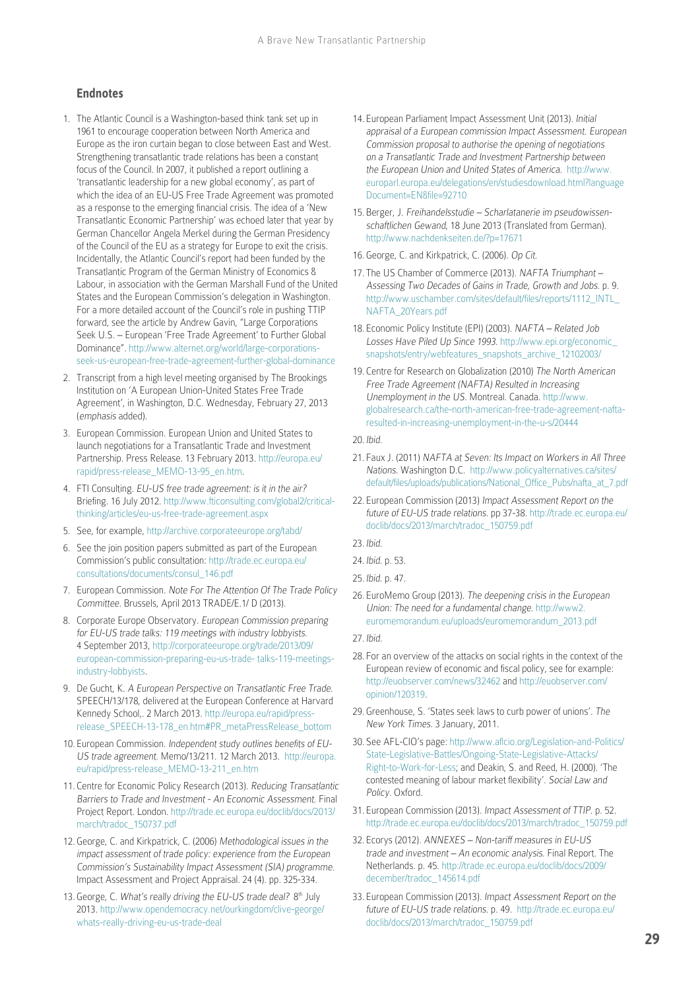#### **Endnotes**

- 1. The Atlantic Council is a Washington-based think tank set up in 1961 to encourage cooperation between North America and Europe as the iron curtain began to close between East and West. Strengthening transatlantic trade relations has been a constant focus of the Council. In 2007, it published a report outlining a 'transatlantic leadership for a new global economy', as part of which the idea of an EU-US Free Trade Agreement was promoted as a response to the emerging financial crisis. The idea of a 'New Transatlantic Economic Partnership' was echoed later that year by German Chancellor Angela Merkel during the German Presidency of the Council of the EU as a strategy for Europe to exit the crisis. Incidentally, the Atlantic Council's report had been funded by the Transatlantic Program of the German Ministry of Economics & Labour, in association with the German Marshall Fund of the United States and the European Commission's delegation in Washington. For a more detailed account of the Council's role in pushing TTIP forward, see the article by Andrew Gavin, "Large Corporations Seek U.S. – European 'Free Trade Agreement' to Further Global Dominance". [http://www.alternet.org/world/large-corporations](http://www.alternet.org/world/large-corporations-seek-us-european-free-trade-agreement-further-global-dominance)[seek-us-european-free-trade-agreement-further-global-dominance](http://www.alternet.org/world/large-corporations-seek-us-european-free-trade-agreement-further-global-dominance)
- 2. Transcript from a high level meeting organised by The Brookings Institution on 'A European Union-United States Free Trade Agreement', in Washington, D.C. Wednesday, February 27, 2013 (emphasis added).
- 3. European Commission. European Union and United States to launch negotiations for a Transatlantic Trade and Investment Partnership. Press Release. 13 February 2013. [http://europa.eu/](http://europa.eu/rapid/press-release_MEMO-13-95_en.htm) [rapid/press-release\\_MEMO-13-95\\_en.htm.](http://europa.eu/rapid/press-release_MEMO-13-95_en.htm)
- 4. FTI Consulting. EU-US free trade agreement: is it in the air? Briefing. 16 July 2012. [http://www.fticonsulting.com/global2/critical](http://www.fticonsulting.com/global2/critical-thinking/articles/eu-us-free-trade-agreement.aspx)[thinking/articles/eu-us-free-trade-agreement.aspx](http://www.fticonsulting.com/global2/critical-thinking/articles/eu-us-free-trade-agreement.aspx)
- 5. See, for example, <http://archive.corporateeurope.org/tabd/>
- 6. See the join position papers submitted as part of the European Commission's public consultation: [http://trade.ec.europa.eu/](http://trade.ec.europa.eu/consultations/documents/consul_146.pdf) [consultations/documents/consul\\_146.pdf](http://trade.ec.europa.eu/consultations/documents/consul_146.pdf)
- 7. European Commission. Note For The Attention Of The Trade Policy Committee. Brussels, April 2013 TRADE/E.1/ D (2013).
- 8. Corporate Europe Observatory. European Commission preparing for EU-US trade talks: 119 meetings with industry lobbyists. 4 September 2013, [http://corporateeurope.org/trade/2013/09/](http://corporateeurope.org/trade/2013/09/european-commission-preparing-eu-us-trade- talks-119-meetings-industry-lobbyists) [european-commission-preparing-eu-us-trade- talks-119-meetings](http://corporateeurope.org/trade/2013/09/european-commission-preparing-eu-us-trade- talks-119-meetings-industry-lobbyists)[industry-lobbyists](http://corporateeurope.org/trade/2013/09/european-commission-preparing-eu-us-trade- talks-119-meetings-industry-lobbyists).
- 9. De Gucht, K. A European Perspective on Transatlantic Free Trade. SPEECH/13/178, delivered at the European Conference at Harvard Kennedy School,. 2 March 2013. [http://europa.eu/rapid/press](http://europa.eu/rapid/press-release_SPEECH-13-178_en.htm#PR_metaPressRelease_bottom)[release\\_SPEECH-13-178\\_en.htm#PR\\_metaPressRelease\\_bottom](http://europa.eu/rapid/press-release_SPEECH-13-178_en.htm#PR_metaPressRelease_bottom)
- 10. European Commission. Independent study outlines benefits of EU-US trade agreement. Memo/13/211. 12 March 2013. [http://europa.](http://europa.eu/rapid/press-release_MEMO-13-211_en.htm) [eu/rapid/press-release\\_MEMO-13-211\\_en.htm](http://europa.eu/rapid/press-release_MEMO-13-211_en.htm)
- 11. Centre for Economic Policy Research (2013). Reducing Transatlantic Barriers to Trade and Investment - An Economic Assessment. Final Project Report. London. [http://trade.ec.europa.eu/doclib/docs/2013/](http://trade.ec.europa.eu/doclib/docs/2013/march/tradoc_150737.pdf) [march/tradoc\\_150737.pdf](http://trade.ec.europa.eu/doclib/docs/2013/march/tradoc_150737.pdf)
- 12. George, C. and Kirkpatrick, C. (2006) Methodological issues in the impact assessment of trade policy: experience from the European Commission's Sustainability Impact Assessment (SIA) programme. Impact Assessment and Project Appraisal. 24 (4). pp. 325-334.
- 13. George, C. What's really driving the EU-US trade deal? 8<sup>th</sup> July 2013. [http://www.opendemocracy.net/ourkingdom/clive-george/](http://www.opendemocracy.net/ourkingdom/clive-george/whats-really-driving-eu-us-trade-deal) [whats-really-driving-eu-us-trade-deal](http://www.opendemocracy.net/ourkingdom/clive-george/whats-really-driving-eu-us-trade-deal)
- 14. European Parliament Impact Assessment Unit (2013). Initial appraisal of a European commission Impact Assessment. European Commission proposal to authorise the opening of negotiations on a Transatlantic Trade and Investment Partnership between the European Union and United States of America. [http://www.](http://www.europarl.europa.eu/delegations/en/studiesdownload.html?languageDocument=EN&file=92710) [europarl.europa.eu/delegations/en/studiesdownload.html?language](http://www.europarl.europa.eu/delegations/en/studiesdownload.html?languageDocument=EN&file=92710) [Document=EN&file=92710](http://www.europarl.europa.eu/delegations/en/studiesdownload.html?languageDocument=EN&file=92710)
- 15. Berger, J. Freihandelsstudie Scharlatanerie im pseudowissenschaftlichen Gewand, 18 June 2013 (Translated from German). <http://www.nachdenkseiten.de/?p=17671>
- 16. George, C. and Kirkpatrick, C. (2006). Op Cit.
- 17. The US Chamber of Commerce (2013). NAFTA Triumphant Assessing Two Decades of Gains in Trade, Growth and Jobs. p. 9. [http://www.uschamber.com/sites/default/files/reports/1112\\_INTL\\_](http://www.uschamber.com/sites/default/files/reports/1112_INTL_NAFTA_20Years.pdf) [NAFTA\\_20Years.pdf](http://www.uschamber.com/sites/default/files/reports/1112_INTL_NAFTA_20Years.pdf)
- 18. Economic Policy Institute (EPI) (2003). NAFTA Related Job Losses Have Piled Up Since 1993. [http://www.epi.org/economic\\_](http://www.epi.org/economic_snapshots/entry/webfeatures_snapshots_archive_12102003/) [snapshots/entry/webfeatures\\_snapshots\\_archive\\_12102003/](http://www.epi.org/economic_snapshots/entry/webfeatures_snapshots_archive_12102003/)
- 19. Centre for Research on Globalization (2010) The North American Free Trade Agreement (NAFTA) Resulted in Increasing Unemployment in the US. Montreal. Canada. [http://www.](http://www.globalresearch.ca/the-north-american-free-trade-agreement-nafta-resulted-in-increasing-unemployment-in-the-u-s/20444) [globalresearch.ca/the-north-american-free-trade-agreement-nafta](http://www.globalresearch.ca/the-north-american-free-trade-agreement-nafta-resulted-in-increasing-unemployment-in-the-u-s/20444)[resulted-in-increasing-unemployment-in-the-u-s/20444](http://www.globalresearch.ca/the-north-american-free-trade-agreement-nafta-resulted-in-increasing-unemployment-in-the-u-s/20444)
- 20. Ibid.
- 21. Faux J. (2011) NAFTA at Seven: Its Impact on Workers in All Three Nations. Washington D.C. [http://www.policyalternatives.ca/sites/](http://www.policyalternatives.ca/sites/default/files/uploads/publications/National_Office_Pubs/nafta_at_7.pdf) [default/files/uploads/publications/National\\_Office\\_Pubs/nafta\\_at\\_7.pdf](http://www.policyalternatives.ca/sites/default/files/uploads/publications/National_Office_Pubs/nafta_at_7.pdf)
- 22. European Commission (2013) Impact Assessment Report on the future of EU-US trade relations. pp 37-38. [http://trade.ec.europa.eu/](http://trade.ec.europa.eu/doclib/docs/2013/march/tradoc_150759.pdf) [doclib/docs/2013/march/tradoc\\_150759.pdf](http://trade.ec.europa.eu/doclib/docs/2013/march/tradoc_150759.pdf)
- 23. Ibid.
- 24. Ibid. p. 53.
- 25. Ibid. p. 47.
- 26. EuroMemo Group (2013). The deepening crisis in the European Union: The need for a fundamental change. [http://www2.](http://www2.euromemorandum.eu/uploads/euromemorandum_2013.pdf) [euromemorandum.eu/uploads/euromemorandum\\_2013.pdf](http://www2.euromemorandum.eu/uploads/euromemorandum_2013.pdf)
- 27. Ibid.
- 28. For an overview of the attacks on social rights in the context of the European review of economic and fiscal policy, see for example: <http://euobserver.com/news/32462>and [http://euobserver.com/](http://euobserver.com/opinion/120319) [opinion/120319](http://euobserver.com/opinion/120319).
- 29. Greenhouse, S. 'States seek laws to curb power of unions'. The New York Times. 3 January, 2011.
- 30. See AFL-CIO's page: [http://www.aflcio.org/Legislation-and-Politics/](http://www.aflcio.org/Legislation-and-Politics/State-Legislative-Battles/Ongoing-State-Legislative-Attacks/Right-to-Work-for-Less) [State-Legislative-Battles/Ongoing-State-Legislative-Attacks/](http://www.aflcio.org/Legislation-and-Politics/State-Legislative-Battles/Ongoing-State-Legislative-Attacks/Right-to-Work-for-Less) [Right-to-Work-for-Less;](http://www.aflcio.org/Legislation-and-Politics/State-Legislative-Battles/Ongoing-State-Legislative-Attacks/Right-to-Work-for-Less) and Deakin, S. and Reed, H. (2000). 'The contested meaning of labour market flexibility'. Social Law and Policy. Oxford.
- 31. European Commission (2013). Impact Assessment of TTIP. p. 52. [http://trade.ec.europa.eu/doclib/docs/2013/march/tradoc\\_150759.pdf](http://trade.ec.europa.eu/doclib/docs/2013/march/tradoc_150759.pdf)
- 32. Ecorys (2012). ANNEXES Non-tariff measures in EU-US trade and investment – An economic analysis. Final Report. The Netherlands. p. 45. [http://trade.ec.europa.eu/doclib/docs/2009/](http://trade.ec.europa.eu/doclib/docs/2009/december/tradoc_145614.pdf) [december/tradoc\\_145614.pdf](http://trade.ec.europa.eu/doclib/docs/2009/december/tradoc_145614.pdf)
- 33. European Commission (2013). Impact Assessment Report on the future of EU-US trade relations. p. 49. [http://trade.ec.europa.eu/](http://trade.ec.europa.eu/doclib/docs/2013/march/tradoc_150759.pdf) [doclib/docs/2013/march/tradoc\\_150759.pdf](http://trade.ec.europa.eu/doclib/docs/2013/march/tradoc_150759.pdf)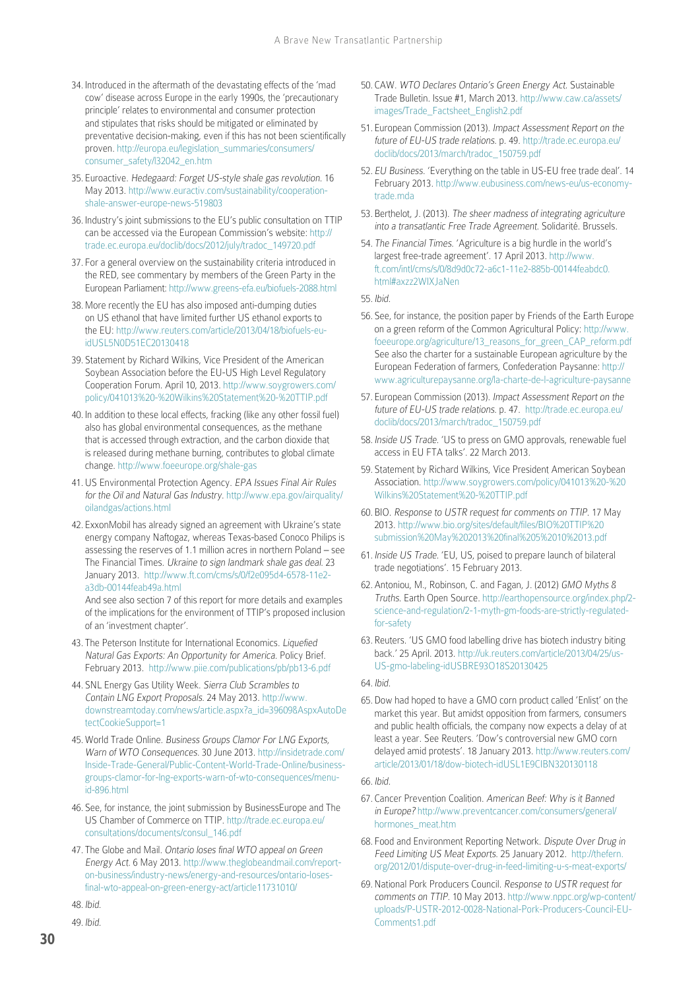- 34. Introduced in the aftermath of the devastating effects of the 'mad cow' disease across Europe in the early 1990s, the 'precautionary principle' relates to environmental and consumer protection and stipulates that risks should be mitigated or eliminated by preventative decision-making, even if this has not been scientifically proven. [http://europa.eu/legislation\\_summaries/consumers/](http://europa.eu/legislation_summaries/consumers/consumer_safety/l32042_en.htm) [consumer\\_safety/l32042\\_en.htm](http://europa.eu/legislation_summaries/consumers/consumer_safety/l32042_en.htm)
- 35. Euroactive. Hedegaard: Forget US-style shale gas revolution. 16 May 2013. [http://www.euractiv.com/sustainability/cooperation](http://www.euractiv.com/sustainability/cooperation-shale-answer-europe-news-519803)[shale-answer-europe-news-519803](http://www.euractiv.com/sustainability/cooperation-shale-answer-europe-news-519803)
- 36. Industry's joint submissions to the EU's public consultation on TTIP can be accessed via the European Commission's website: [http://](http://trade.ec.europa.eu/doclib/docs/2012/july/tradoc_149720.pdf) [trade.ec.europa.eu/doclib/docs/2012/july/tradoc\\_149720.pdf](http://trade.ec.europa.eu/doclib/docs/2012/july/tradoc_149720.pdf)
- 37. For a general overview on the sustainability criteria introduced in the RED, see commentary by members of the Green Party in the European Parliament: <http://www.greens-efa.eu/biofuels-2088.html>
- 38.More recently the EU has also imposed anti-dumping duties on US ethanol that have limited further US ethanol exports to the EU: [http://www.reuters.com/article/2013/04/18/biofuels-eu](http://www.reuters.com/article/2013/04/18/biofuels-eu-idUSL5N0D51EC20130418)[idUSL5N0D51EC20130418](http://www.reuters.com/article/2013/04/18/biofuels-eu-idUSL5N0D51EC20130418)
- 39. Statement by Richard Wilkins, Vice President of the American Soybean Association before the EU-US High Level Regulatory Cooperation Forum. April 10, 2013. [http://www.soygrowers.com/](http://www.soygrowers.com/policy/041013 - Wilkins Statement - TTIP.pdf) [policy/041013%20-%20Wilkins%20Statement%20-%20TTIP.pdf](http://www.soygrowers.com/policy/041013 - Wilkins Statement - TTIP.pdf)
- 40. In addition to these local effects, fracking (like any other fossil fuel) also has global environmental consequences, as the methane that is accessed through extraction, and the carbon dioxide that is released during methane burning, contributes to global climate change.<http://www.foeeurope.org/shale-gas>
- 41.US Environmental Protection Agency. EPA Issues Final Air Rules for the Oil and Natural Gas Industry. [http://www.epa.gov/airquality/](http://www.epa.gov/airquality/oilandgas/actions.html) [oilandgas/actions.html](http://www.epa.gov/airquality/oilandgas/actions.html)
- 42. ExxonMobil has already signed an agreement with Ukraine's state energy company Naftogaz, whereas Texas-based Conoco Philips is assessing the reserves of 1.1 million acres in northern Poland – see The Financial Times. Ukraine to sign landmark shale gas deal. 23 January 2013. [http://www.ft.com/cms/s/0/f2e095d4-6578-11e2](http://www.ft.com/cms/s/0/f2e095d4-6578-11e2-a3db-00144feab49a.html) [a3db-00144feab49a.html](http://www.ft.com/cms/s/0/f2e095d4-6578-11e2-a3db-00144feab49a.html)

And see also section 7 of this report for more details and examples of the implications for the environment of TTIP's proposed inclusion of an 'investment chapter'.

- 43. The Peterson Institute for International Economics. Liquefied Natural Gas Exports: An Opportunity for America. Policy Brief. February 2013. <http://www.piie.com/publications/pb/pb13-6.pdf>
- 44. SNL Energy Gas Utility Week. Sierra Club Scrambles to Contain LNG Export Proposals. 24 May 2013. [http://www.](http://www.downstreamtoday.com/news/article.aspx?a_id=39609&AspxAutoDetectCookieSupport=1) [downstreamtoday.com/news/article.aspx?a\\_id=39609&AspxAutoDe](http://www.downstreamtoday.com/news/article.aspx?a_id=39609&AspxAutoDetectCookieSupport=1) [tectCookieSupport=1](http://www.downstreamtoday.com/news/article.aspx?a_id=39609&AspxAutoDetectCookieSupport=1)
- 45. World Trade Online. Business Groups Clamor For LNG Exports, Warn of WTO Consequences. 30 June 2013. [http://insidetrade.com/](http://insidetrade.com/Inside-Trade-General/Public-Content-World-Trade-Online/business-groups-clamor-for-lng-exports-warn-of-wto-consequences/menu-id-896.html) [Inside-Trade-General/Public-Content-World-Trade-Online/business](http://insidetrade.com/Inside-Trade-General/Public-Content-World-Trade-Online/business-groups-clamor-for-lng-exports-warn-of-wto-consequences/menu-id-896.html)[groups-clamor-for-lng-exports-warn-of-wto-consequences/menu](http://insidetrade.com/Inside-Trade-General/Public-Content-World-Trade-Online/business-groups-clamor-for-lng-exports-warn-of-wto-consequences/menu-id-896.html)[id-896.html](http://insidetrade.com/Inside-Trade-General/Public-Content-World-Trade-Online/business-groups-clamor-for-lng-exports-warn-of-wto-consequences/menu-id-896.html)
- 46. See, for instance, the joint submission by BusinessEurope and The US Chamber of Commerce on TTIP. [http://trade.ec.europa.eu/](http://trade.ec.europa.eu/consultations/documents/consul_146.pdf) [consultations/documents/consul\\_146.pdf](http://trade.ec.europa.eu/consultations/documents/consul_146.pdf)
- 47. The Globe and Mail. Ontario loses final WTO appeal on Green Energy Act. 6 May 2013. [http://www.theglobeandmail.com/report](http://www.theglobeandmail.com/report-on-business/industry-news/energy-and-resources/ontario-loses-final-wto-appeal-on-green-energy-act/article11731010/)[on-business/industry-news/energy-and-resources/ontario-loses](http://www.theglobeandmail.com/report-on-business/industry-news/energy-and-resources/ontario-loses-final-wto-appeal-on-green-energy-act/article11731010/)[final-wto-appeal-on-green-energy-act/article11731010/](http://www.theglobeandmail.com/report-on-business/industry-news/energy-and-resources/ontario-loses-final-wto-appeal-on-green-energy-act/article11731010/)

48. Ibid.

49. Ibid.

- 50. CAW. WTO Declares Ontario's Green Energy Act. Sustainable Trade Bulletin. Issue #1, March 2013. [http://www.caw.ca/assets/](http://www.caw.ca/assets/images/Trade_Factsheet_English2.pdf) [images/Trade\\_Factsheet\\_English2.pdf](http://www.caw.ca/assets/images/Trade_Factsheet_English2.pdf)
- 51. European Commission (2013). Impact Assessment Report on the future of EU-US trade relations. p. 49. [http://trade.ec.europa.eu/](http://trade.ec.europa.eu/doclib/docs/2013/march/tradoc_150759.pdf) [doclib/docs/2013/march/tradoc\\_150759.pdf](http://trade.ec.europa.eu/doclib/docs/2013/march/tradoc_150759.pdf)
- 52. EU Business. 'Everything on the table in US-EU free trade deal'. 14 February 2013. [http://www.eubusiness.com/news-eu/us-economy](http://www.eubusiness.com/news-eu/us-economy-trade.mda)[trade.mda](http://www.eubusiness.com/news-eu/us-economy-trade.mda)
- 53. Berthelot, J. (2013). The sheer madness of integrating agriculture into a transatlantic Free Trade Agreement. Solidarité. Brussels.
- 54. The Financial Times. 'Agriculture is a big hurdle in the world's largest free-trade agreement'. 17 April 2013. [http://www.](http://www.ft.com/intl/cms/s/0/8d9d0c72-a6c1-11e2-885b-00144feabdc0.html#axzz2WIXJaNen) [ft.com/intl/cms/s/0/8d9d0c72-a6c1-11e2-885b-00144feabdc0.](http://www.ft.com/intl/cms/s/0/8d9d0c72-a6c1-11e2-885b-00144feabdc0.html#axzz2WIXJaNen) [html#axzz2WIXJaNen](http://www.ft.com/intl/cms/s/0/8d9d0c72-a6c1-11e2-885b-00144feabdc0.html#axzz2WIXJaNen)
- 55. Ibid.
- 56. See, for instance, the position paper by Friends of the Earth Europe on a green reform of the Common Agricultural Policy: [http://www.](http://www.foeeurope.org/agriculture/13_reasons_for_green_CAP_reform.pdf) [foeeurope.org/agriculture/13\\_reasons\\_for\\_green\\_CAP\\_reform.pdf](http://www.foeeurope.org/agriculture/13_reasons_for_green_CAP_reform.pdf) See also the charter for a sustainable European agriculture by the European Federation of farmers, Confederation Paysanne: [http://](http://www.agriculturepaysanne.org/la-charte-de-l-agriculture-paysanne) [www.agriculturepaysanne.org/la-charte-de-l-agriculture-paysanne](http://www.agriculturepaysanne.org/la-charte-de-l-agriculture-paysanne)
- 57. European Commission (2013). Impact Assessment Report on the future of EU-US trade relations. p. 47. [http://trade.ec.europa.eu/](http://trade.ec.europa.eu/doclib/docs/2013/march/tradoc_150759.pdf) [doclib/docs/2013/march/tradoc\\_150759.pdf](http://trade.ec.europa.eu/doclib/docs/2013/march/tradoc_150759.pdf)
- 58. Inside US Trade. 'US to press on GMO approvals, renewable fuel access in EU FTA talks'. 22 March 2013.
- 59. Statement by Richard Wilkins, Vice President American Soybean Association. [http://www.soygrowers.com/policy/041013%20-%20](http://www.soygrowers.com/policy/041013 - Wilkins Statement - TTIP.pdf) [Wilkins%20Statement%20-%20TTIP.pdf](http://www.soygrowers.com/policy/041013 - Wilkins Statement - TTIP.pdf)
- 60. BIO. Response to USTR request for comments on TTIP. 17 May 2013. [http://www.bio.org/sites/default/files/BIO%20TTIP%20](http://www.bio.org/sites/default/files/BIO TTIP submission May 2013 final 5 10 13.pdf) [submission%20May%202013%20final%205%2010%2013.pdf](http://www.bio.org/sites/default/files/BIO TTIP submission May 2013 final 5 10 13.pdf)
- 61. Inside US Trade. 'EU, US, poised to prepare launch of bilateral trade negotiations'. 15 February 2013.
- 62.Antoniou, M., Robinson, C. and Fagan, J. (2012) GMO Myths & Truths. Earth Open Source. [http://earthopensource.org/index.php/2](http://earthopensource.org/index.php/2-science-and-regulation/2-1-myth-gm-foods-are-strictly-regulated-for-safety) [science-and-regulation/2-1-myth-gm-foods-are-strictly-regulated](http://earthopensource.org/index.php/2-science-and-regulation/2-1-myth-gm-foods-are-strictly-regulated-for-safety)[for-safety](http://earthopensource.org/index.php/2-science-and-regulation/2-1-myth-gm-foods-are-strictly-regulated-for-safety)
- 63. Reuters. 'US GMO food labelling drive has biotech industry biting back.' 25 April. 2013. [http://uk.reuters.com/article/2013/04/25/us-](http://uk.reuters.com/article/2013/04/25/us-usa-gmo-labeling-idUSBRE93O18S20130425)[US-gmo-labeling-idUSBRE93O18S20130425](http://uk.reuters.com/article/2013/04/25/us-usa-gmo-labeling-idUSBRE93O18S20130425)

65.Dow had hoped to have a GMO corn product called 'Enlist' on the market this year. But amidst opposition from farmers, consumers and public health officials, the company now expects a delay of at least a year. See Reuters. 'Dow's controversial new GMO corn delayed amid protests'. 18 January 2013. [http://www.reuters.com/](http://www.reuters.com/article/2013/01/18/dow-biotech-idUSL1E9CIBN320130118) [article/2013/01/18/dow-biotech-idUSL1E9CIBN320130118](http://www.reuters.com/article/2013/01/18/dow-biotech-idUSL1E9CIBN320130118)

- 67. Cancer Prevention Coalition. American Beef: Why is it Banned in Europe? [http://www.preventcancer.com/consumers/general/](http://www.preventcancer.com/consumers/general/hormones_meat.htm) [hormones\\_meat.htm](http://www.preventcancer.com/consumers/general/hormones_meat.htm)
- 68. Food and Environment Reporting Network. Dispute Over Drug in Feed Limiting US Meat Exports. 25 January 2012. [http://thefern.](http://thefern.org/2012/01/dispute-over-drug-in-feed-limiting-u-s-meat-exports/) [org/2012/01/dispute-over-drug-in-feed-limiting-u-s-meat-exports/](http://thefern.org/2012/01/dispute-over-drug-in-feed-limiting-u-s-meat-exports/)
- 69.National Pork Producers Council. Response to USTR request for comments on TTIP. 10 May 2013. [http://www.nppc.org/wp-content/](http://www.nppc.org/wp-content/uploads/P-USTR-2012-0028-National-Pork-Producers-Council-EU-Comments1.pdf) [uploads/P-USTR-2012-0028-National-Pork-Producers-Council-EU-](http://www.nppc.org/wp-content/uploads/P-USTR-2012-0028-National-Pork-Producers-Council-EU-Comments1.pdf)[Comments1.pdf](http://www.nppc.org/wp-content/uploads/P-USTR-2012-0028-National-Pork-Producers-Council-EU-Comments1.pdf)

<sup>64.</sup> Ibid.

<sup>66.</sup> Ibid.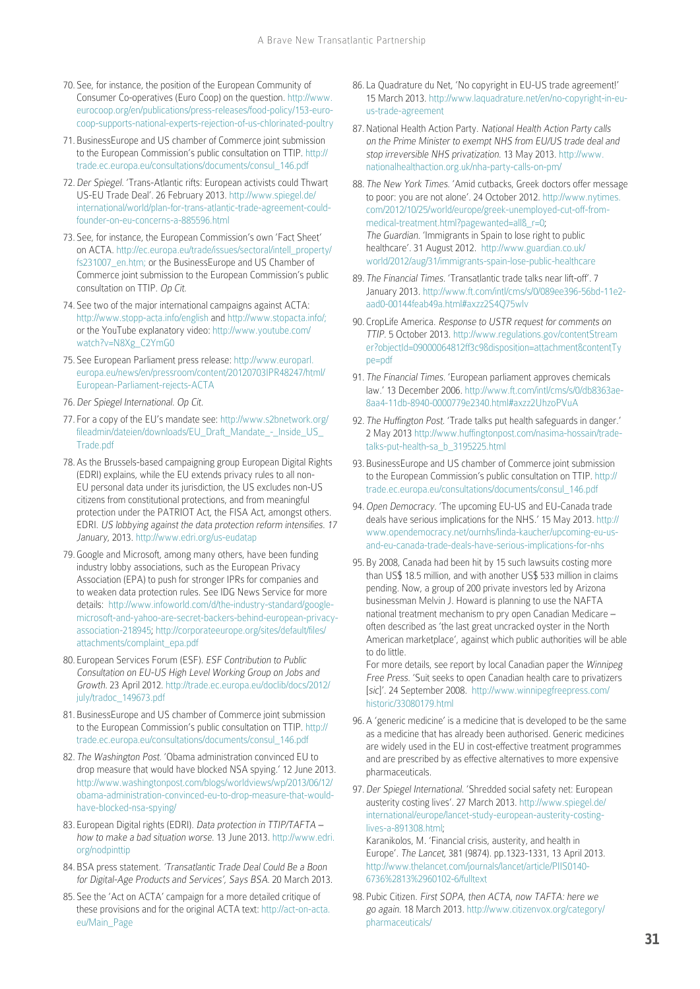- 70. See, for instance, the position of the European Community of Consumer Co-operatives (Euro Coop) on the question. [http://www.](http://www.eurocoop.org/en/publications/press-releases/food-policy/153-euro-coop-supports-national-experts-rejection-of-us-chlorinated-poultry) [eurocoop.org/en/publications/press-releases/food-policy/153-euro](http://www.eurocoop.org/en/publications/press-releases/food-policy/153-euro-coop-supports-national-experts-rejection-of-us-chlorinated-poultry)[coop-supports-national-experts-rejection-of-us-chlorinated-poultry](http://www.eurocoop.org/en/publications/press-releases/food-policy/153-euro-coop-supports-national-experts-rejection-of-us-chlorinated-poultry)
- 71. BusinessEurope and US chamber of Commerce joint submission to the European Commission's public consultation on TTIP. [http://](http://trade.ec.europa.eu/consultations/documents/consul_146.pdf) [trade.ec.europa.eu/consultations/documents/consul\\_146.pdf](http://trade.ec.europa.eu/consultations/documents/consul_146.pdf)
- 72.Der Spiegel. 'Trans-Atlantic rifts: European activists could Thwart US-EU Trade Deal'. 26 February 2013. [http://www.spiegel.de/](http://www.spiegel.de/international/world/plan-for-trans-atlantic-trade-agreement-could-founder-on-eu-concerns-a-885596.html) [international/world/plan-for-trans-atlantic-trade-agreement-could](http://www.spiegel.de/international/world/plan-for-trans-atlantic-trade-agreement-could-founder-on-eu-concerns-a-885596.html)[founder-on-eu-concerns-a-885596.html](http://www.spiegel.de/international/world/plan-for-trans-atlantic-trade-agreement-could-founder-on-eu-concerns-a-885596.html)
- 73. See, for instance, the European Commission's own 'Fact Sheet' on ACTA. [http://ec.europa.eu/trade/issues/sectoral/intell\\_property/](http://ec.europa.eu/trade/issues/sectoral/intell_property/fs231007_en.htm) [fs231007\\_en.htm](http://ec.europa.eu/trade/issues/sectoral/intell_property/fs231007_en.htm); or the BusinessEurope and US Chamber of Commerce joint submission to the European Commission's public consultation on TTIP. Op Cit.
- 74. See two of the major international campaigns against ACTA: <http://www.stopp-acta.info/english> and [http://www.stopacta.info/;](http://www.stopacta.info/) or the YouTube explanatory video: [http://www.youtube.com/](http://www.youtube.com/watch?v=N8Xg_C2YmG0) [watch?v=N8Xg\\_C2YmG0](http://www.youtube.com/watch?v=N8Xg_C2YmG0)
- 75. See European Parliament press release: [http://www.europarl.](http://www.europarl.europa.eu/news/en/pressroom/content/20120703IPR48247/html/European-Parliament-rejects-ACTA) [europa.eu/news/en/pressroom/content/20120703IPR48247/html/](http://www.europarl.europa.eu/news/en/pressroom/content/20120703IPR48247/html/European-Parliament-rejects-ACTA) [European-Parliament-rejects-ACTA](http://www.europarl.europa.eu/news/en/pressroom/content/20120703IPR48247/html/European-Parliament-rejects-ACTA)
- 76.Der Spiegel International. Op Cit.
- 77. For a copy of the EU's mandate see: [http://www.s2bnetwork.org/](http://www.s2bnetwork.org/fileadmin/dateien/downloads/EU_Draft_Mandate_-_Inside_US_Trade.pdf) [fileadmin/dateien/downloads/EU\\_Draft\\_Mandate\\_-\\_Inside\\_US\\_](http://www.s2bnetwork.org/fileadmin/dateien/downloads/EU_Draft_Mandate_-_Inside_US_Trade.pdf) [Trade.pdf](http://www.s2bnetwork.org/fileadmin/dateien/downloads/EU_Draft_Mandate_-_Inside_US_Trade.pdf)
- 78.As the Brussels-based campaigning group European Digital Rights (EDRI) explains, while the EU extends privacy rules to all non-EU personal data under its jurisdiction, the US excludes non-US citizens from constitutional protections, and from meaningful protection under the PATRIOT Act, the FISA Act, amongst others. EDRI. US lobbying against the data protection reform intensifies. 17 January, 2013. <http://www.edri.org/us-eudatap>
- 79. Google and Microsoft, among many others, have been funding industry lobby associations, such as the European Privacy Association (EPA) to push for stronger IPRs for companies and to weaken data protection rules. See IDG News Service for more details: [http://www.infoworld.com/d/the-industry-standard/google](http://www.infoworld.com/d/the-industry-standard/google-microsoft-and-yahoo-are-secret-backers-behind-european-privacy-association-218945)[microsoft-and-yahoo-are-secret-backers-behind-european-privacy](http://www.infoworld.com/d/the-industry-standard/google-microsoft-and-yahoo-are-secret-backers-behind-european-privacy-association-218945)[association-218945;](http://www.infoworld.com/d/the-industry-standard/google-microsoft-and-yahoo-are-secret-backers-behind-european-privacy-association-218945) [http://corporateeurope.org/sites/default/files/](http://corporateeurope.org/sites/default/files/attachments/complaint_epa.pdf) [attachments/complaint\\_epa.pdf](http://corporateeurope.org/sites/default/files/attachments/complaint_epa.pdf)
- 80. European Services Forum (ESF). ESF Contribution to Public Consultation on EU-US High Level Working Group on Jobs and Growth. 23 April 2012. [http://trade.ec.europa.eu/doclib/docs/2012/](http://trade.ec.europa.eu/doclib/docs/2012/july/tradoc_149673.pdf) [july/tradoc\\_149673.pdf](http://trade.ec.europa.eu/doclib/docs/2012/july/tradoc_149673.pdf)
- 81. BusinessEurope and US chamber of Commerce joint submission to the European Commission's public consultation on TTIP. [http://](http://trade.ec.europa.eu/consultations/documents/consul_146.pdf) [trade.ec.europa.eu/consultations/documents/consul\\_146.pdf](http://trade.ec.europa.eu/consultations/documents/consul_146.pdf)
- 82. The Washington Post. 'Obama administration convinced EU to drop measure that would have blocked NSA spying.' 12 June 2013. [http://www.washingtonpost.com/blogs/worldviews/wp/2013/06/12/](http://www.washingtonpost.com/blogs/worldviews/wp/2013/06/12/obama-administration-convinced-eu-to-drop-measure-that-would-have-blocked-nsa-spying/) [obama-administration-convinced-eu-to-drop-measure-that-would](http://www.washingtonpost.com/blogs/worldviews/wp/2013/06/12/obama-administration-convinced-eu-to-drop-measure-that-would-have-blocked-nsa-spying/)[have-blocked-nsa-spying/](http://www.washingtonpost.com/blogs/worldviews/wp/2013/06/12/obama-administration-convinced-eu-to-drop-measure-that-would-have-blocked-nsa-spying/)
- 83. European Digital rights (EDRI). Data protection in TTIP/TAFTA how to make a bad situation worse. 13 June 2013. [http://www.edri.](http://www.edri.org/nodpinttip) [org/nodpinttip](http://www.edri.org/nodpinttip)
- 84. BSA press statement. 'Transatlantic Trade Deal Could Be a Boon for Digital-Age Products and Services', Says BSA. 20 March 2013.
- 85. See the 'Act on ACTA' campaign for a more detailed critique of these provisions and for the original ACTA text: [http://act-on-acta.](http://act-on-acta.eu/Main_Page) [eu/Main\\_Page](http://act-on-acta.eu/Main_Page)
- 86. La Quadrature du Net, 'No copyright in EU-US trade agreement!' 15 March 2013. [http://www.laquadrature.net/en/no-copyright-in-eu](http://www.laquadrature.net/en/no-copyright-in-eu-us-trade-agreement)[us-trade-agreement](http://www.laquadrature.net/en/no-copyright-in-eu-us-trade-agreement)
- 87.National Health Action Party. National Health Action Party calls on the Prime Minister to exempt NHS from EU/US trade deal and stop irreversible NHS privatization. 13 May 2013. [http://www.](http://www.nationalhealthaction.org.uk/nha-party-calls-on-pm/) [nationalhealthaction.org.uk/nha-party-calls-on-pm/](http://www.nationalhealthaction.org.uk/nha-party-calls-on-pm/)
- 88. The New York Times. 'Amid cutbacks, Greek doctors offer message to poor: you are not alone'. 24 October 2012. [http://www.nytimes.](http://www.nytimes.com/2012/10/25/world/europe/greek-unemployed-cut-off-from-medical-treatment.html?pagewanted=all&_r=0) [com/2012/10/25/world/europe/greek-unemployed-cut-off-from](http://www.nytimes.com/2012/10/25/world/europe/greek-unemployed-cut-off-from-medical-treatment.html?pagewanted=all&_r=0)[medical-treatment.html?pagewanted=all&\\_r=0](http://www.nytimes.com/2012/10/25/world/europe/greek-unemployed-cut-off-from-medical-treatment.html?pagewanted=all&_r=0); The Guardian. 'Immigrants in Spain to lose right to public healthcare'. 31 August 2012. [http://www.guardian.co.uk/](http://www.guardian.co.uk/world/2012/aug/31/immigrants-spain-lose-public-healthcare) [world/2012/aug/31/immigrants-spain-lose-public-healthcare](http://www.guardian.co.uk/world/2012/aug/31/immigrants-spain-lose-public-healthcare)
- 89. The Financial Times. 'Transatlantic trade talks near lift-off', 7 January 2013. [http://www.ft.com/intl/cms/s/0/089ee396-56bd-11e2](http://www.ft.com/intl/cms/s/0/089ee396-56bd-11e2-aad0-00144feab49a.html#axzz2S4Q75wlv) [aad0-00144feab49a.html#axzz2S4Q75wlv](http://www.ft.com/intl/cms/s/0/089ee396-56bd-11e2-aad0-00144feab49a.html#axzz2S4Q75wlv)
- 90. CropLife America. Response to USTR request for comments on TTIP. 5 October 2013. [http://www.regulations.gov/contentStream](http://www.regulations.gov/contentStreamer?objectId=09000064812ff3c9&disposition=attachment&contentType=pdf) [er?objectId=09000064812ff3c9&disposition=attachment&contentTy](http://www.regulations.gov/contentStreamer?objectId=09000064812ff3c9&disposition=attachment&contentType=pdf) [pe=pdf](http://www.regulations.gov/contentStreamer?objectId=09000064812ff3c9&disposition=attachment&contentType=pdf)
- 91. The Financial Times. 'European parliament approves chemicals law.' 13 December 2006. [http://www.ft.com/intl/cms/s/0/db8363ae-](http://www.ft.com/intl/cms/s/0/db8363ae-8aa4-11db-8940-0000779e2340.html#axzz2UhzoPVuA)[8aa4-11db-8940-0000779e2340.html#axzz2UhzoPVuA](http://www.ft.com/intl/cms/s/0/db8363ae-8aa4-11db-8940-0000779e2340.html#axzz2UhzoPVuA)
- 92. The Huffington Post. 'Trade talks put health safeguards in danger.' 2 May 2013 [http://www.huffingtonpost.com/nasima-hossain/trade](http://www.huffingtonpost.com/nasima-hossain/trade-talks-put-health-sa_b_3195225.html)[talks-put-health-sa\\_b\\_3195225.html](http://www.huffingtonpost.com/nasima-hossain/trade-talks-put-health-sa_b_3195225.html)
- 93. BusinessEurope and US chamber of Commerce joint submission to the European Commission's public consultation on TTIP. [http://](http://trade.ec.europa.eu/consultations/documents/consul_146.pdf) [trade.ec.europa.eu/consultations/documents/consul\\_146.pdf](http://trade.ec.europa.eu/consultations/documents/consul_146.pdf)
- 94.Open Democracy. 'The upcoming EU-US and EU-Canada trade deals have serious implications for the NHS.' 15 May 2013. [http://](http://www.opendemocracy.net/ournhs/linda-kaucher/upcoming-eu-us-and-eu-canada-trade-deals-have-serious-implications-for-nhs) [www.opendemocracy.net/ournhs/linda-kaucher/upcoming-eu-us](http://www.opendemocracy.net/ournhs/linda-kaucher/upcoming-eu-us-and-eu-canada-trade-deals-have-serious-implications-for-nhs)[and-eu-canada-trade-deals-have-serious-implications-for-nhs](http://www.opendemocracy.net/ournhs/linda-kaucher/upcoming-eu-us-and-eu-canada-trade-deals-have-serious-implications-for-nhs)
- 95. By 2008, Canada had been hit by 15 such lawsuits costing more than US\$ 18.5 million, and with another US\$ 533 million in claims pending. Now, a group of 200 private investors led by Arizona businessman Melvin J. Howard is planning to use the NAFTA national treatment mechanism to pry open Canadian Medicare – often described as 'the last great uncracked oyster in the North American marketplace', against which public authorities will be able to do little.

For more details, see report by local Canadian paper the Winnipeg Free Press. 'Suit seeks to open Canadian health care to privatizers [sic]'. 24 September 2008. [http://www.winnipegfreepress.com/](http://www.winnipegfreepress.com/historic/33080179.html) [historic/33080179.html](http://www.winnipegfreepress.com/historic/33080179.html)

- 96.A 'generic medicine' is a medicine that is developed to be the same as a medicine that has already been authorised. Generic medicines are widely used in the EU in cost-effective treatment programmes and are prescribed by as effective alternatives to more expensive pharmaceuticals.
- 97.Der Spiegel International. 'Shredded social safety net: European austerity costing lives'. 27 March 2013. [http://www.spiegel.de/](http://www.spiegel.de/international/europe/lancet-study-european-austerity-costing-lives-a-891308.html) [international/europe/lancet-study-european-austerity-costing](http://www.spiegel.de/international/europe/lancet-study-european-austerity-costing-lives-a-891308.html)[lives-a-891308.html](http://www.spiegel.de/international/europe/lancet-study-european-austerity-costing-lives-a-891308.html);

Karanikolos, M. 'Financial crisis, austerity, and health in Europe'. The Lancet, 381 (9874). pp.1323-1331, 13 April 2013. [http://www.thelancet.com/journals/lancet/article/PIIS0140-](http://www.thelancet.com/journals/lancet/article/PIIS0140-6736(13)60102-6/fulltext) [6736%2813%2960102-6/fulltext](http://www.thelancet.com/journals/lancet/article/PIIS0140-6736(13)60102-6/fulltext)

98. Pubic Citizen. First SOPA, then ACTA, now TAFTA: here we go again. 18 March 2013. [http://www.citizenvox.org/category/](http://www.citizenvox.org/category/pharmaceuticals/) [pharmaceuticals/](http://www.citizenvox.org/category/pharmaceuticals/)